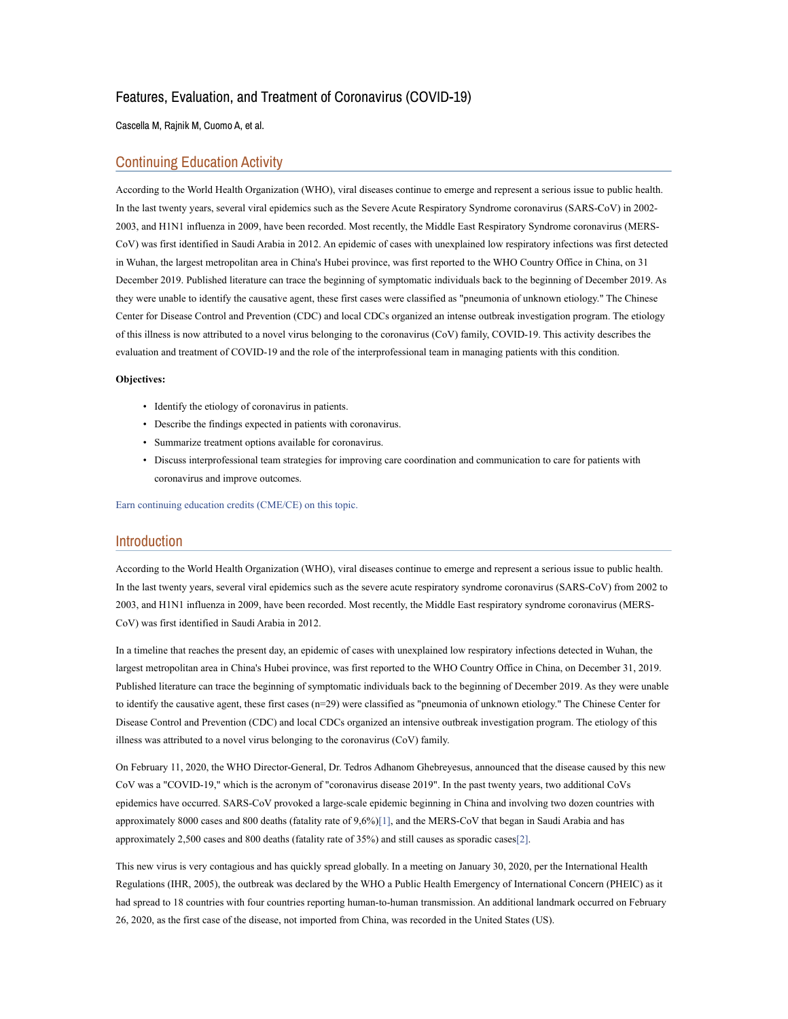# Features, Evaluation, and Treatment of Coronavirus (COVID-19)

## Cascella M, Rajnik M, Cuomo A, et al.

## Continuing Education Activity

According to the World Health Organization (WHO), viral diseases continue to emerge and represent a serious issue to public health. In the last twenty years, several viral epidemics such as the Severe Acute Respiratory Syndrome coronavirus (SARS-CoV) in 2002- 2003, and H1N1 influenza in 2009, have been recorded. Most recently, the Middle East Respiratory Syndrome coronavirus (MERS-CoV) was first identified in Saudi Arabia in 2012. An epidemic of cases with unexplained low respiratory infections was first detected in Wuhan, the largest metropolitan area in China's Hubei province, was first reported to the WHO Country Office in China, on 31 December 2019. Published literature can trace the beginning of symptomatic individuals back to the beginning of December 2019. As they were unable to identify the causative agent, these first cases were classified as "pneumonia of unknown etiology." The Chinese Center for Disease Control and Prevention (CDC) and local CDCs organized an intense outbreak investigation program. The etiology of this illness is now attributed to a novel virus belonging to the coronavirus (CoV) family, COVID-19. This activity describes the evaluation and treatment of COVID-19 and the role of the interprofessional team in managing patients with this condition.

## Objectives:

- Identify the etiology of coronavirus in patients.
- Describe the findings expected in patients with coronavirus.
- Summarize treatment options available for coronavirus.
- Discuss interprofessional team strategies for improving care coordination and communication to care for patients with coronavirus and improve outcomes.

Earn continuing education credits (CME/CE) on this topic.

## Introduction

According to the World Health Organization (WHO), viral diseases continue to emerge and represent a serious issue to public health. In the last twenty years, several viral epidemics such as the severe acute respiratory syndrome coronavirus (SARS-CoV) from 2002 to 2003, and H1N1 influenza in 2009, have been recorded. Most recently, the Middle East respiratory syndrome coronavirus (MERS-CoV) was first identified in Saudi Arabia in 2012.

In a timeline that reaches the present day, an epidemic of cases with unexplained low respiratory infections detected in Wuhan, the largest metropolitan area in China's Hubei province, was first reported to the WHO Country Office in China, on December 31, 2019. Published literature can trace the beginning of symptomatic individuals back to the beginning of December 2019. As they were unable to identify the causative agent, these first cases (n=29) were classified as "pneumonia of unknown etiology." The Chinese Center for Disease Control and Prevention (CDC) and local CDCs organized an intensive outbreak investigation program. The etiology of this illness was attributed to a novel virus belonging to the coronavirus (CoV) family.

On February 11, 2020, the WHO Director-General, Dr. Tedros Adhanom Ghebreyesus, announced that the disease caused by this new CoV was a "COVID-19," which is the acronym of "coronavirus disease 2019". In the past twenty years, two additional CoVs epidemics have occurred. SARS-CoV provoked a large-scale epidemic beginning in China and involving two dozen countries with approximately 8000 cases and 800 deaths (fatality rate of 9,6%)[1], and the MERS-CoV that began in Saudi Arabia and has approximately 2,500 cases and 800 deaths (fatality rate of 35%) and still causes as sporadic cases[2].

This new virus is very contagious and has quickly spread globally. In a meeting on January 30, 2020, per the International Health Regulations (IHR, 2005), the outbreak was declared by the WHO a Public Health Emergency of International Concern (PHEIC) as it had spread to 18 countries with four countries reporting human-to-human transmission. An additional landmark occurred on February 26, 2020, as the first case of the disease, not imported from China, was recorded in the United States (US).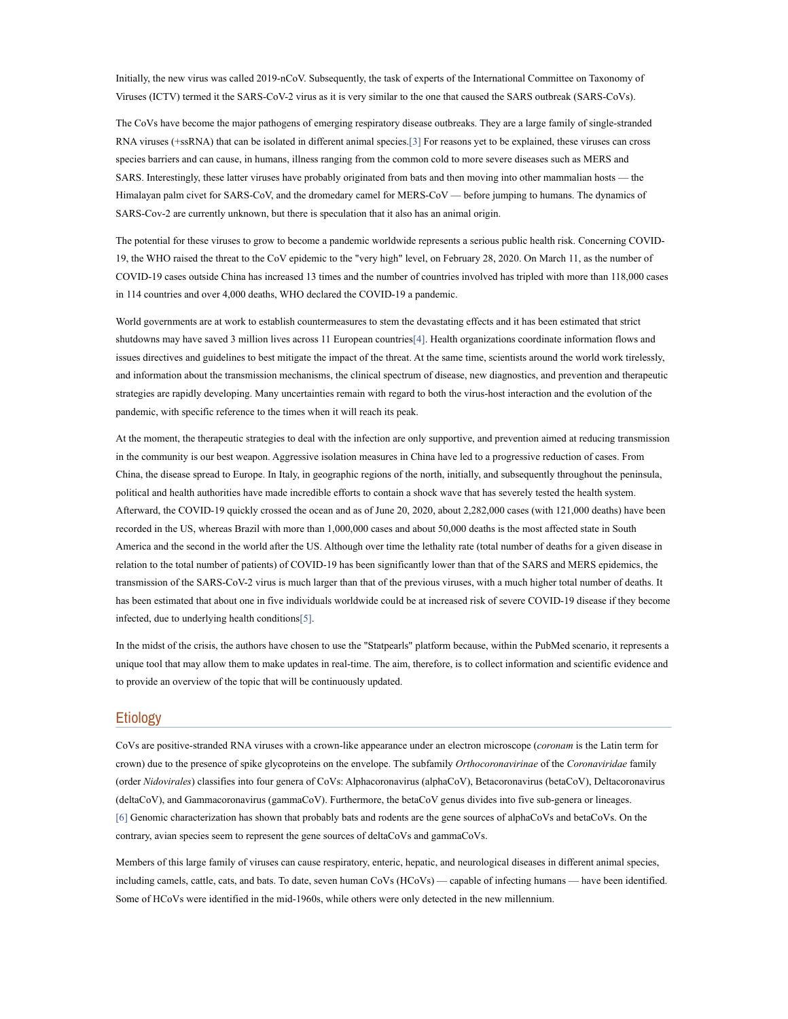Initially, the new virus was called 2019-nCoV. Subsequently, the task of experts of the International Committee on Taxonomy of Viruses (ICTV) termed it the SARS-CoV-2 virus as it is very similar to the one that caused the SARS outbreak (SARS-CoVs).

The CoVs have become the major pathogens of emerging respiratory disease outbreaks. They are a large family of single-stranded RNA viruses (+ssRNA) that can be isolated in different animal species.[3] For reasons yet to be explained, these viruses can cross species barriers and can cause, in humans, illness ranging from the common cold to more severe diseases such as MERS and SARS. Interestingly, these latter viruses have probably originated from bats and then moving into other mammalian hosts — the Himalayan palm civet for SARS-CoV, and the dromedary camel for MERS-CoV — before jumping to humans. The dynamics of SARS-Cov-2 are currently unknown, but there is speculation that it also has an animal origin.

The potential for these viruses to grow to become a pandemic worldwide represents a serious public health risk. Concerning COVID-19, the WHO raised the threat to the CoV epidemic to the "very high" level, on February 28, 2020. On March 11, as the number of COVID-19 cases outside China has increased 13 times and the number of countries involved has tripled with more than 118,000 cases in 114 countries and over 4,000 deaths, WHO declared the COVID-19 a pandemic.

World governments are at work to establish countermeasures to stem the devastating effects and it has been estimated that strict shutdowns may have saved 3 million lives across 11 European countries[4]. Health organizations coordinate information flows and issues directives and guidelines to best mitigate the impact of the threat. At the same time, scientists around the world work tirelessly, and information about the transmission mechanisms, the clinical spectrum of disease, new diagnostics, and prevention and therapeutic strategies are rapidly developing. Many uncertainties remain with regard to both the virus-host interaction and the evolution of the pandemic, with specific reference to the times when it will reach its peak.

At the moment, the therapeutic strategies to deal with the infection are only supportive, and prevention aimed at reducing transmission in the community is our best weapon. Aggressive isolation measures in China have led to a progressive reduction of cases. From China, the disease spread to Europe. In Italy, in geographic regions of the north, initially, and subsequently throughout the peninsula, political and health authorities have made incredible efforts to contain a shock wave that has severely tested the health system. Afterward, the COVID-19 quickly crossed the ocean and as of June 20, 2020, about 2,282,000 cases (with 121,000 deaths) have been recorded in the US, whereas Brazil with more than 1,000,000 cases and about 50,000 deaths is the most affected state in South America and the second in the world after the US. Although over time the lethality rate (total number of deaths for a given disease in relation to the total number of patients) of COVID-19 has been significantly lower than that of the SARS and MERS epidemics, the transmission of the SARS-CoV-2 virus is much larger than that of the previous viruses, with a much higher total number of deaths. It has been estimated that about one in five individuals worldwide could be at increased risk of severe COVID-19 disease if they become infected, due to underlying health conditions[5].

In the midst of the crisis, the authors have chosen to use the "Statpearls" platform because, within the PubMed scenario, it represents a unique tool that may allow them to make updates in real-time. The aim, therefore, is to collect information and scientific evidence and to provide an overview of the topic that will be continuously updated.

## Etiology

CoVs are positive-stranded RNA viruses with a crown-like appearance under an electron microscope (coronam is the Latin term for crown) due to the presence of spike glycoproteins on the envelope. The subfamily Orthocoronavirinae of the Coronaviridae family (order Nidovirales) classifies into four genera of CoVs: Alphacoronavirus (alphaCoV), Betacoronavirus (betaCoV), Deltacoronavirus (deltaCoV), and Gammacoronavirus (gammaCoV). Furthermore, the betaCoV genus divides into five sub-genera or lineages. [6] Genomic characterization has shown that probably bats and rodents are the gene sources of alphaCoVs and betaCoVs. On the contrary, avian species seem to represent the gene sources of deltaCoVs and gammaCoVs.

Members of this large family of viruses can cause respiratory, enteric, hepatic, and neurological diseases in different animal species, including camels, cattle, cats, and bats. To date, seven human CoVs (HCoVs) — capable of infecting humans — have been identified. Some of HCoVs were identified in the mid-1960s, while others were only detected in the new millennium.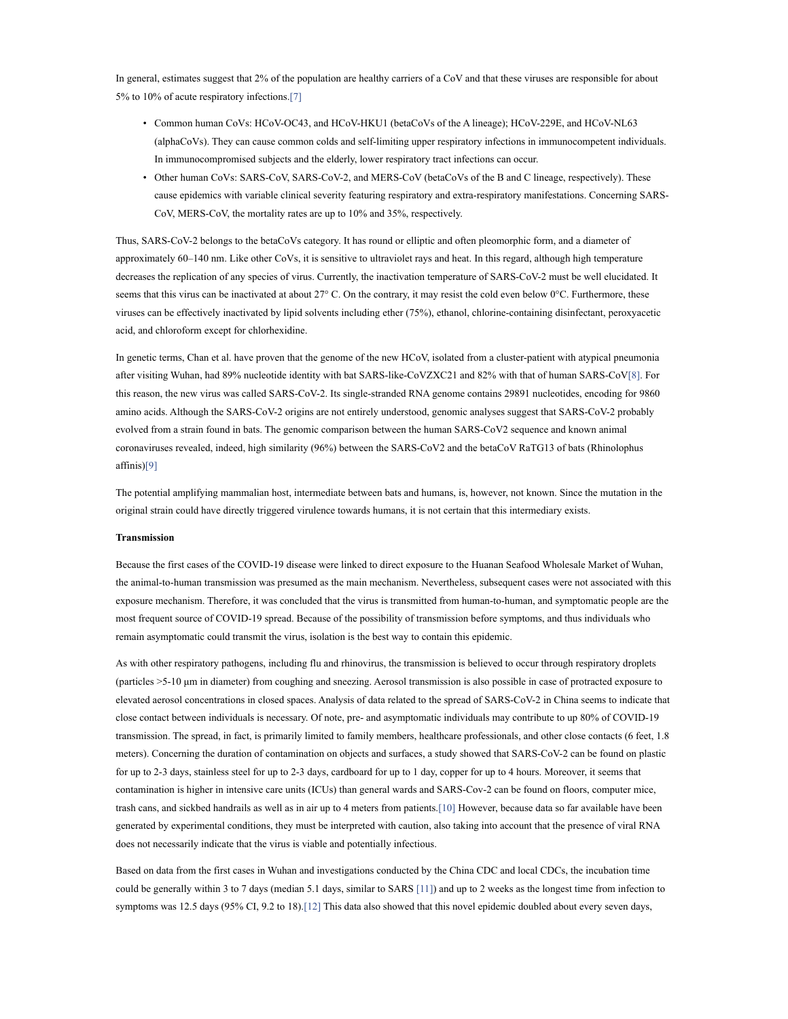In general, estimates suggest that 2% of the population are healthy carriers of a CoV and that these viruses are responsible for about 5% to 10% of acute respiratory infections.[7]

- Common human CoVs: HCoV-OC43, and HCoV-HKU1 (betaCoVs of the A lineage); HCoV-229E, and HCoV-NL63 (alphaCoVs). They can cause common colds and self-limiting upper respiratory infections in immunocompetent individuals. In immunocompromised subjects and the elderly, lower respiratory tract infections can occur.
- Other human CoVs: SARS-CoV, SARS-CoV-2, and MERS-CoV (betaCoVs of the B and C lineage, respectively). These cause epidemics with variable clinical severity featuring respiratory and extra-respiratory manifestations. Concerning SARS-CoV, MERS-CoV, the mortality rates are up to 10% and 35%, respectively.

Thus, SARS-CoV-2 belongs to the betaCoVs category. It has round or elliptic and often pleomorphic form, and a diameter of approximately 60–140 nm. Like other CoVs, it is sensitive to ultraviolet rays and heat. In this regard, although high temperature decreases the replication of any species of virus. Currently, the inactivation temperature of SARS-CoV-2 must be well elucidated. It seems that this virus can be inactivated at about  $27^{\circ}$  C. On the contrary, it may resist the cold even below  $0^{\circ}$ C. Furthermore, these viruses can be effectively inactivated by lipid solvents including ether (75%), ethanol, chlorine-containing disinfectant, peroxyacetic acid, and chloroform except for chlorhexidine.

In genetic terms, Chan et al. have proven that the genome of the new HCoV, isolated from a cluster-patient with atypical pneumonia after visiting Wuhan, had 89% nucleotide identity with bat SARS-like-CoVZXC21 and 82% with that of human SARS-CoV[8]. For this reason, the new virus was called SARS-CoV-2. Its single-stranded RNA genome contains 29891 nucleotides, encoding for 9860 amino acids. Although the SARS-CoV-2 origins are not entirely understood, genomic analyses suggest that SARS-CoV-2 probably evolved from a strain found in bats. The genomic comparison between the human SARS-CoV2 sequence and known animal coronaviruses revealed, indeed, high similarity (96%) between the SARS-CoV2 and the betaCoV RaTG13 of bats (Rhinolophus affinis)[9]

The potential amplifying mammalian host, intermediate between bats and humans, is, however, not known. Since the mutation in the original strain could have directly triggered virulence towards humans, it is not certain that this intermediary exists.

#### Transmission

Because the first cases of the COVID-19 disease were linked to direct exposure to the Huanan Seafood Wholesale Market of Wuhan, the animal-to-human transmission was presumed as the main mechanism. Nevertheless, subsequent cases were not associated with this exposure mechanism. Therefore, it was concluded that the virus is transmitted from human-to-human, and symptomatic people are the most frequent source of COVID-19 spread. Because of the possibility of transmission before symptoms, and thus individuals who remain asymptomatic could transmit the virus, isolation is the best way to contain this epidemic.

As with other respiratory pathogens, including flu and rhinovirus, the transmission is believed to occur through respiratory droplets (particles >5-10 μm in diameter) from coughing and sneezing. Aerosol transmission is also possible in case of protracted exposure to elevated aerosol concentrations in closed spaces. Analysis of data related to the spread of SARS-CoV-2 in China seems to indicate that close contact between individuals is necessary. Of note, pre- and asymptomatic individuals may contribute to up 80% of COVID-19 transmission. The spread, in fact, is primarily limited to family members, healthcare professionals, and other close contacts (6 feet, 1.8 meters). Concerning the duration of contamination on objects and surfaces, a study showed that SARS-CoV-2 can be found on plastic for up to 2-3 days, stainless steel for up to 2-3 days, cardboard for up to 1 day, copper for up to 4 hours. Moreover, it seems that contamination is higher in intensive care units (ICUs) than general wards and SARS-Cov-2 can be found on floors, computer mice, trash cans, and sickbed handrails as well as in air up to 4 meters from patients.[10] However, because data so far available have been generated by experimental conditions, they must be interpreted with caution, also taking into account that the presence of viral RNA does not necessarily indicate that the virus is viable and potentially infectious.

Based on data from the first cases in Wuhan and investigations conducted by the China CDC and local CDCs, the incubation time could be generally within 3 to 7 days (median 5.1 days, similar to SARS [11]) and up to 2 weeks as the longest time from infection to symptoms was 12.5 days (95% CI, 9.2 to 18).[12] This data also showed that this novel epidemic doubled about every seven days,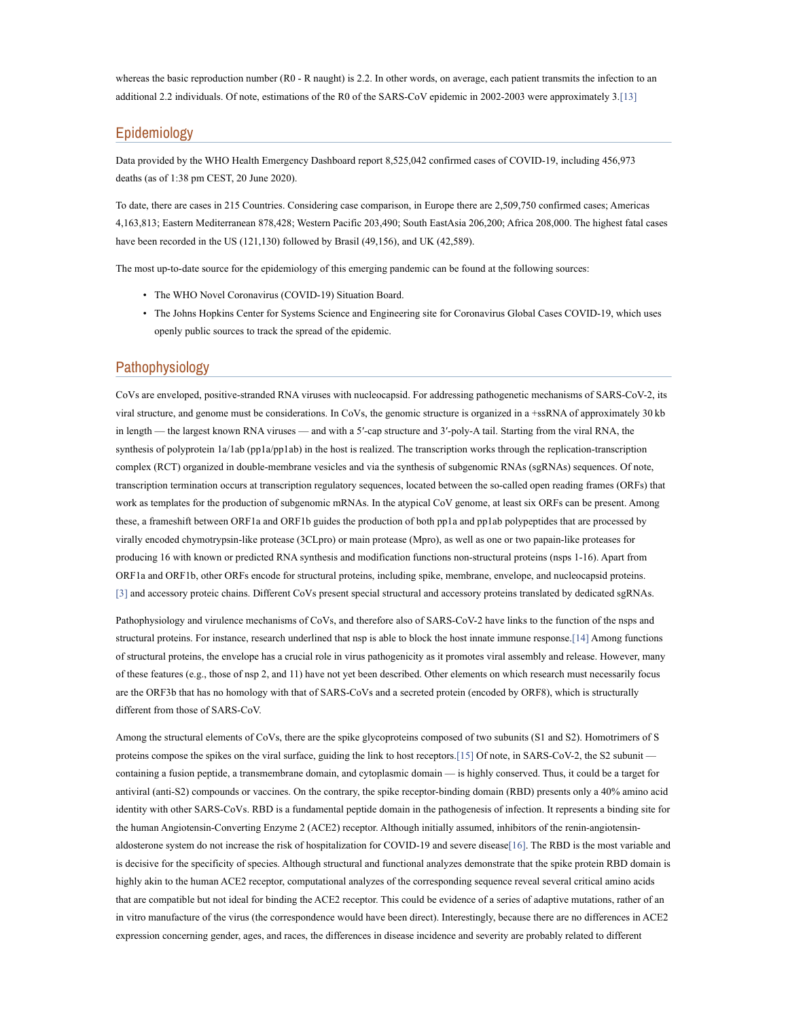whereas the basic reproduction number (R0 - R naught) is 2.2. In other words, on average, each patient transmits the infection to an additional 2.2 individuals. Of note, estimations of the R0 of the SARS-CoV epidemic in 2002-2003 were approximately 3.[13]

## Epidemiology

Data provided by the WHO Health Emergency Dashboard report 8,525,042 confirmed cases of COVID-19, including 456,973 deaths (as of 1:38 pm CEST, 20 June 2020).

To date, there are cases in 215 Countries. Considering case comparison, in Europe there are 2,509,750 confirmed cases; Americas 4,163,813; Eastern Mediterranean 878,428; Western Pacific 203,490; South EastAsia 206,200; Africa 208,000. The highest fatal cases have been recorded in the US (121,130) followed by Brasil (49,156), and UK (42,589).

The most up-to-date source for the epidemiology of this emerging pandemic can be found at the following sources:

- The WHO Novel Coronavirus (COVID-19) Situation Board.
- The Johns Hopkins Center for Systems Science and Engineering site for Coronavirus Global Cases COVID-19, which uses openly public sources to track the spread of the epidemic.

## Pathophysiology

CoVs are enveloped, positive-stranded RNA viruses with nucleocapsid. For addressing pathogenetic mechanisms of SARS-CoV-2, its viral structure, and genome must be considerations. In CoVs, the genomic structure is organized in a +ssRNA of approximately 30 kb in length — the largest known RNA viruses — and with a 5′-cap structure and 3′-poly-A tail. Starting from the viral RNA, the synthesis of polyprotein 1a/1ab (pp1a/pp1ab) in the host is realized. The transcription works through the replication-transcription complex (RCT) organized in double-membrane vesicles and via the synthesis of subgenomic RNAs (sgRNAs) sequences. Of note, transcription termination occurs at transcription regulatory sequences, located between the so-called open reading frames (ORFs) that work as templates for the production of subgenomic mRNAs. In the atypical CoV genome, at least six ORFs can be present. Among these, a frameshift between ORF1a and ORF1b guides the production of both pp1a and pp1ab polypeptides that are processed by virally encoded chymotrypsin-like protease (3CLpro) or main protease (Mpro), as well as one or two papain-like proteases for producing 16 with known or predicted RNA synthesis and modification functions non-structural proteins (nsps 1-16). Apart from ORF1a and ORF1b, other ORFs encode for structural proteins, including spike, membrane, envelope, and nucleocapsid proteins. [3] and accessory proteic chains. Different CoVs present special structural and accessory proteins translated by dedicated sgRNAs.

Pathophysiology and virulence mechanisms of CoVs, and therefore also of SARS-CoV-2 have links to the function of the nsps and structural proteins. For instance, research underlined that nsp is able to block the host innate immune response.[14] Among functions of structural proteins, the envelope has a crucial role in virus pathogenicity as it promotes viral assembly and release. However, many of these features (e.g., those of nsp 2, and 11) have not yet been described. Other elements on which research must necessarily focus are the ORF3b that has no homology with that of SARS-CoVs and a secreted protein (encoded by ORF8), which is structurally different from those of SARS-CoV.

Among the structural elements of CoVs, there are the spike glycoproteins composed of two subunits (S1 and S2). Homotrimers of S proteins compose the spikes on the viral surface, guiding the link to host receptors.[15] Of note, in SARS-CoV-2, the S2 subunit containing a fusion peptide, a transmembrane domain, and cytoplasmic domain — is highly conserved. Thus, it could be a target for antiviral (anti-S2) compounds or vaccines. On the contrary, the spike receptor-binding domain (RBD) presents only a 40% amino acid identity with other SARS-CoVs. RBD is a fundamental peptide domain in the pathogenesis of infection. It represents a binding site for the human Angiotensin-Converting Enzyme 2 (ACE2) receptor. Although initially assumed, inhibitors of the renin-angiotensinaldosterone system do not increase the risk of hospitalization for COVID-19 and severe disease[16]. The RBD is the most variable and is decisive for the specificity of species. Although structural and functional analyzes demonstrate that the spike protein RBD domain is highly akin to the human ACE2 receptor, computational analyzes of the corresponding sequence reveal several critical amino acids that are compatible but not ideal for binding the ACE2 receptor. This could be evidence of a series of adaptive mutations, rather of an in vitro manufacture of the virus (the correspondence would have been direct). Interestingly, because there are no differences in ACE2 expression concerning gender, ages, and races, the differences in disease incidence and severity are probably related to different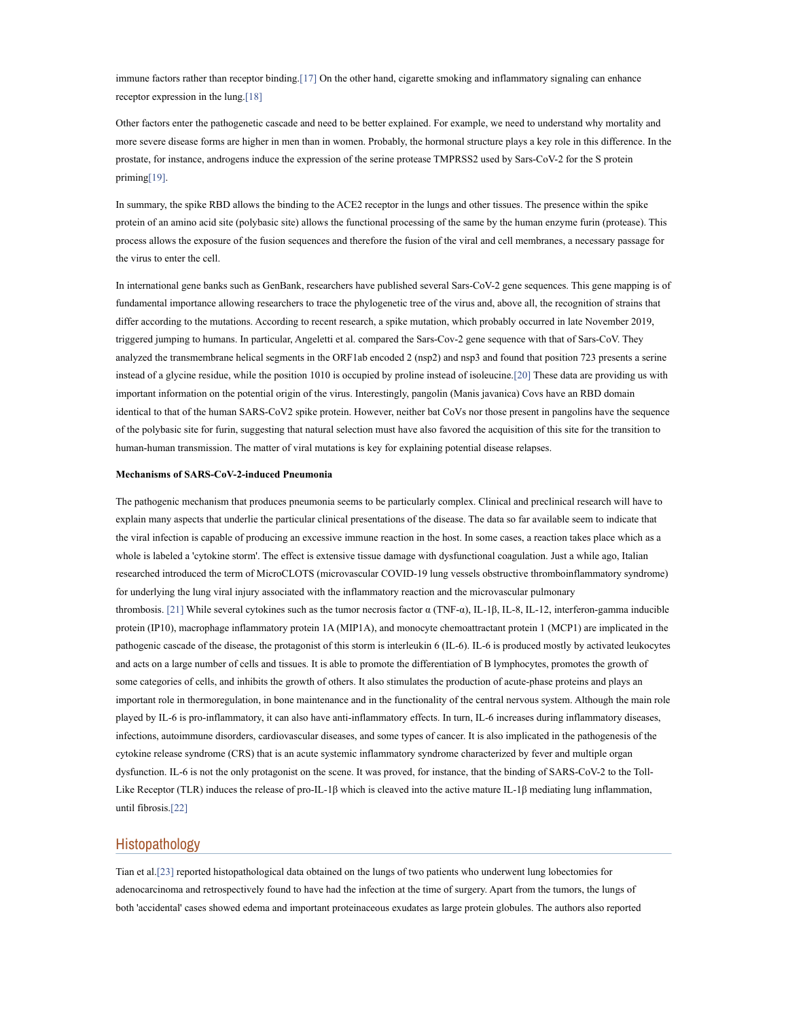immune factors rather than receptor binding.[17] On the other hand, cigarette smoking and inflammatory signaling can enhance receptor expression in the lung.[18]

Other factors enter the pathogenetic cascade and need to be better explained. For example, we need to understand why mortality and more severe disease forms are higher in men than in women. Probably, the hormonal structure plays a key role in this difference. In the prostate, for instance, androgens induce the expression of the serine protease TMPRSS2 used by Sars-CoV-2 for the S protein priming[19].

In summary, the spike RBD allows the binding to the ACE2 receptor in the lungs and other tissues. The presence within the spike protein of an amino acid site (polybasic site) allows the functional processing of the same by the human enzyme furin (protease). This process allows the exposure of the fusion sequences and therefore the fusion of the viral and cell membranes, a necessary passage for the virus to enter the cell.

In international gene banks such as GenBank, researchers have published several Sars-CoV-2 gene sequences. This gene mapping is of fundamental importance allowing researchers to trace the phylogenetic tree of the virus and, above all, the recognition of strains that differ according to the mutations. According to recent research, a spike mutation, which probably occurred in late November 2019, triggered jumping to humans. In particular, Angeletti et al. compared the Sars-Cov-2 gene sequence with that of Sars-CoV. They analyzed the transmembrane helical segments in the ORF1ab encoded 2 (nsp2) and nsp3 and found that position 723 presents a serine instead of a glycine residue, while the position 1010 is occupied by proline instead of isoleucine.[20] These data are providing us with important information on the potential origin of the virus. Interestingly, pangolin (Manis javanica) Covs have an RBD domain identical to that of the human SARS-CoV2 spike protein. However, neither bat CoVs nor those present in pangolins have the sequence of the polybasic site for furin, suggesting that natural selection must have also favored the acquisition of this site for the transition to human-human transmission. The matter of viral mutations is key for explaining potential disease relapses.

### Mechanisms of SARS-CoV-2-induced Pneumonia

The pathogenic mechanism that produces pneumonia seems to be particularly complex. Clinical and preclinical research will have to explain many aspects that underlie the particular clinical presentations of the disease. The data so far available seem to indicate that the viral infection is capable of producing an excessive immune reaction in the host. In some cases, a reaction takes place which as a whole is labeled a 'cytokine storm'. The effect is extensive tissue damage with dysfunctional coagulation. Just a while ago, Italian researched introduced the term of MicroCLOTS (microvascular COVID-19 lung vessels obstructive thromboinflammatory syndrome) for underlying the lung viral injury associated with the inflammatory reaction and the microvascular pulmonary thrombosis. [21] While several cytokines such as the tumor necrosis factor α (TNF-α), IL-1β, IL-8, IL-12, interferon-gamma inducible protein (IP10), macrophage inflammatory protein 1A (MIP1A), and monocyte chemoattractant protein 1 (MCP1) are implicated in the pathogenic cascade of the disease, the protagonist of this storm is interleukin 6 (IL-6). IL-6 is produced mostly by activated leukocytes and acts on a large number of cells and tissues. It is able to promote the differentiation of B lymphocytes, promotes the growth of some categories of cells, and inhibits the growth of others. It also stimulates the production of acute-phase proteins and plays an important role in thermoregulation, in bone maintenance and in the functionality of the central nervous system. Although the main role played by IL-6 is pro-inflammatory, it can also have anti-inflammatory effects. In turn, IL-6 increases during inflammatory diseases, infections, autoimmune disorders, cardiovascular diseases, and some types of cancer. It is also implicated in the pathogenesis of the cytokine release syndrome (CRS) that is an acute systemic inflammatory syndrome characterized by fever and multiple organ dysfunction. IL-6 is not the only protagonist on the scene. It was proved, for instance, that the binding of SARS-CoV-2 to the Toll-Like Receptor (TLR) induces the release of pro-IL-1β which is cleaved into the active mature IL-1β mediating lung inflammation, until fibrosis.[22]

# Histopathology

Tian et al.[23] reported histopathological data obtained on the lungs of two patients who underwent lung lobectomies for adenocarcinoma and retrospectively found to have had the infection at the time of surgery. Apart from the tumors, the lungs of both 'accidental' cases showed edema and important proteinaceous exudates as large protein globules. The authors also reported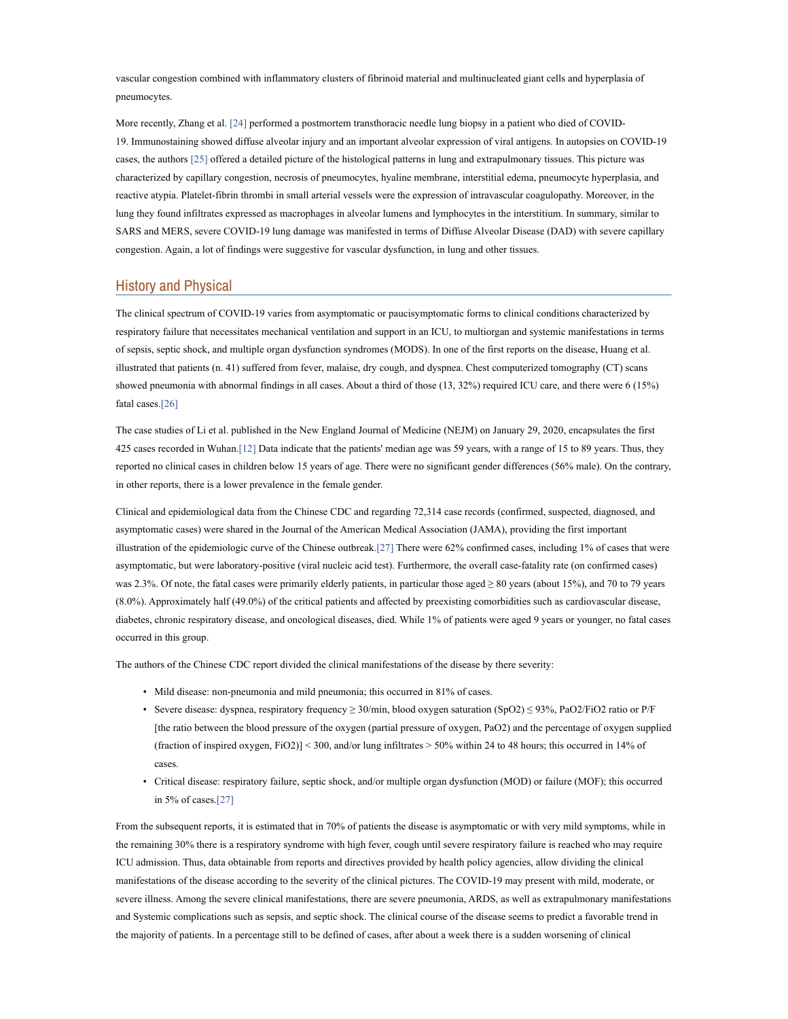vascular congestion combined with inflammatory clusters of fibrinoid material and multinucleated giant cells and hyperplasia of pneumocytes.

More recently, Zhang et al. [24] performed a postmortem transthoracic needle lung biopsy in a patient who died of COVID-19. Immunostaining showed diffuse alveolar injury and an important alveolar expression of viral antigens. In autopsies on COVID-19 cases, the authors [25] offered a detailed picture of the histological patterns in lung and extrapulmonary tissues. This picture was characterized by capillary congestion, necrosis of pneumocytes, hyaline membrane, interstitial edema, pneumocyte hyperplasia, and reactive atypia. Platelet-fibrin thrombi in small arterial vessels were the expression of intravascular coagulopathy. Moreover, in the lung they found infiltrates expressed as macrophages in alveolar lumens and lymphocytes in the interstitium. In summary, similar to SARS and MERS, severe COVID-19 lung damage was manifested in terms of Diffuse Alveolar Disease (DAD) with severe capillary congestion. Again, a lot of findings were suggestive for vascular dysfunction, in lung and other tissues.

# History and Physical

The clinical spectrum of COVID-19 varies from asymptomatic or paucisymptomatic forms to clinical conditions characterized by respiratory failure that necessitates mechanical ventilation and support in an ICU, to multiorgan and systemic manifestations in terms of sepsis, septic shock, and multiple organ dysfunction syndromes (MODS). In one of the first reports on the disease, Huang et al. illustrated that patients (n. 41) suffered from fever, malaise, dry cough, and dyspnea. Chest computerized tomography (CT) scans showed pneumonia with abnormal findings in all cases. About a third of those (13, 32%) required ICU care, and there were 6 (15%) fatal cases.[26]

The case studies of Li et al. published in the New England Journal of Medicine (NEJM) on January 29, 2020, encapsulates the first 425 cases recorded in Wuhan.[12] Data indicate that the patients' median age was 59 years, with a range of 15 to 89 years. Thus, they reported no clinical cases in children below 15 years of age. There were no significant gender differences (56% male). On the contrary, in other reports, there is a lower prevalence in the female gender.

Clinical and epidemiological data from the Chinese CDC and regarding 72,314 case records (confirmed, suspected, diagnosed, and asymptomatic cases) were shared in the Journal of the American Medical Association (JAMA), providing the first important illustration of the epidemiologic curve of the Chinese outbreak.[27] There were 62% confirmed cases, including 1% of cases that were asymptomatic, but were laboratory-positive (viral nucleic acid test). Furthermore, the overall case-fatality rate (on confirmed cases) was 2.3%. Of note, the fatal cases were primarily elderly patients, in particular those aged ≥ 80 years (about 15%), and 70 to 79 years (8.0%). Approximately half (49.0%) of the critical patients and affected by preexisting comorbidities such as cardiovascular disease, diabetes, chronic respiratory disease, and oncological diseases, died. While 1% of patients were aged 9 years or younger, no fatal cases occurred in this group.

The authors of the Chinese CDC report divided the clinical manifestations of the disease by there severity:

- Mild disease: non-pneumonia and mild pneumonia; this occurred in 81% of cases.
- Severe disease: dyspnea, respiratory frequency ≥ 30/min, blood oxygen saturation (SpO2) ≤ 93%, PaO2/FiO2 ratio or P/F [the ratio between the blood pressure of the oxygen (partial pressure of oxygen, PaO2) and the percentage of oxygen supplied (fraction of inspired oxygen, FiO2)] < 300, and/or lung infiltrates > 50% within 24 to 48 hours; this occurred in 14% of cases.
- Critical disease: respiratory failure, septic shock, and/or multiple organ dysfunction (MOD) or failure (MOF); this occurred in 5% of cases.[27]

From the subsequent reports, it is estimated that in 70% of patients the disease is asymptomatic or with very mild symptoms, while in the remaining 30% there is a respiratory syndrome with high fever, cough until severe respiratory failure is reached who may require ICU admission. Thus, data obtainable from reports and directives provided by health policy agencies, allow dividing the clinical manifestations of the disease according to the severity of the clinical pictures. The COVID-19 may present with mild, moderate, or severe illness. Among the severe clinical manifestations, there are severe pneumonia, ARDS, as well as extrapulmonary manifestations and Systemic complications such as sepsis, and septic shock. The clinical course of the disease seems to predict a favorable trend in the majority of patients. In a percentage still to be defined of cases, after about a week there is a sudden worsening of clinical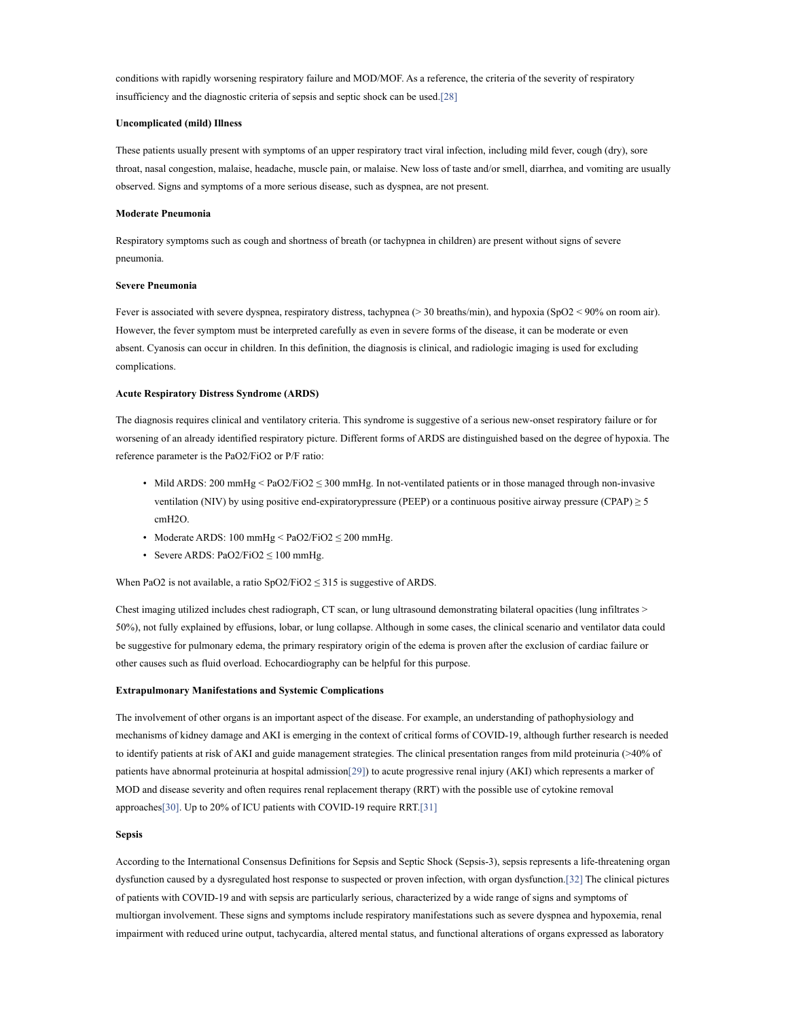conditions with rapidly worsening respiratory failure and MOD/MOF. As a reference, the criteria of the severity of respiratory insufficiency and the diagnostic criteria of sepsis and septic shock can be used.[28]

## Uncomplicated (mild) Illness

These patients usually present with symptoms of an upper respiratory tract viral infection, including mild fever, cough (dry), sore throat, nasal congestion, malaise, headache, muscle pain, or malaise. New loss of taste and/or smell, diarrhea, and vomiting are usually observed. Signs and symptoms of a more serious disease, such as dyspnea, are not present.

## Moderate Pneumonia

Respiratory symptoms such as cough and shortness of breath (or tachypnea in children) are present without signs of severe pneumonia.

#### Severe Pneumonia

Fever is associated with severe dyspnea, respiratory distress, tachypnea (> 30 breaths/min), and hypoxia (SpO2 < 90% on room air). However, the fever symptom must be interpreted carefully as even in severe forms of the disease, it can be moderate or even absent. Cyanosis can occur in children. In this definition, the diagnosis is clinical, and radiologic imaging is used for excluding complications.

#### Acute Respiratory Distress Syndrome (ARDS)

The diagnosis requires clinical and ventilatory criteria. This syndrome is suggestive of a serious new-onset respiratory failure or for worsening of an already identified respiratory picture. Different forms of ARDS are distinguished based on the degree of hypoxia. The reference parameter is the PaO2/FiO2 or P/F ratio:

- Mild ARDS: 200 mmHg < PaO2/FiO2  $\leq$  300 mmHg. In not-ventilated patients or in those managed through non-invasive ventilation (NIV) by using positive end-expiratorypressure (PEEP) or a continuous positive airway pressure (CPAP)  $\geq$  5 cmH2O.
- Moderate ARDS: 100 mmHg < PaO2/FiO2 ≤ 200 mmHg.
- Severe ARDS:  $PaO2/FiO2 \le 100$  mmHg.

When PaO2 is not available, a ratio  $SpO2/FiO2 \leq 315$  is suggestive of ARDS.

Chest imaging utilized includes chest radiograph, CT scan, or lung ultrasound demonstrating bilateral opacities (lung infiltrates > 50%), not fully explained by effusions, lobar, or lung collapse. Although in some cases, the clinical scenario and ventilator data could be suggestive for pulmonary edema, the primary respiratory origin of the edema is proven after the exclusion of cardiac failure or other causes such as fluid overload. Echocardiography can be helpful for this purpose.

### Extrapulmonary Manifestations and Systemic Complications

The involvement of other organs is an important aspect of the disease. For example, an understanding of pathophysiology and mechanisms of kidney damage and AKI is emerging in the context of critical forms of COVID-19, although further research is needed to identify patients at risk of AKI and guide management strategies. The clinical presentation ranges from mild proteinuria (>40% of patients have abnormal proteinuria at hospital admission[29]) to acute progressive renal injury (AKI) which represents a marker of MOD and disease severity and often requires renal replacement therapy (RRT) with the possible use of cytokine removal approaches[30]. Up to 20% of ICU patients with COVID-19 require RRT.[31]

#### Sepsis

According to the International Consensus Definitions for Sepsis and Septic Shock (Sepsis-3), sepsis represents a life-threatening organ dysfunction caused by a dysregulated host response to suspected or proven infection, with organ dysfunction.[32] The clinical pictures of patients with COVID-19 and with sepsis are particularly serious, characterized by a wide range of signs and symptoms of multiorgan involvement. These signs and symptoms include respiratory manifestations such as severe dyspnea and hypoxemia, renal impairment with reduced urine output, tachycardia, altered mental status, and functional alterations of organs expressed as laboratory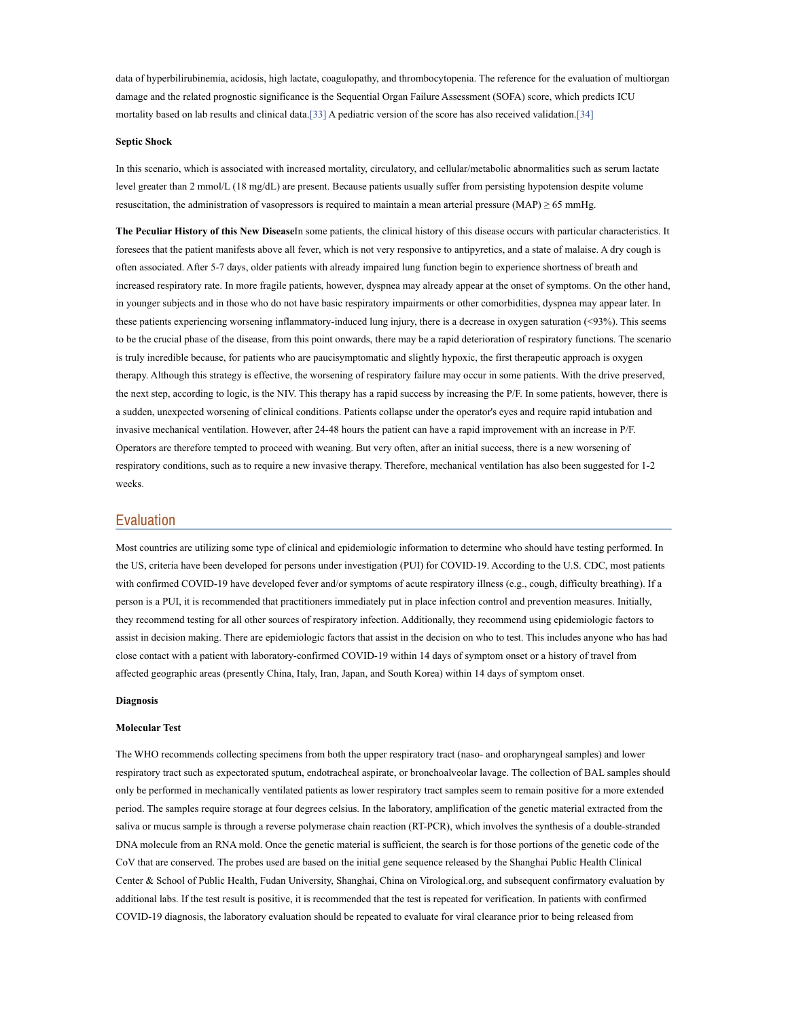data of hyperbilirubinemia, acidosis, high lactate, coagulopathy, and thrombocytopenia. The reference for the evaluation of multiorgan damage and the related prognostic significance is the Sequential Organ Failure Assessment (SOFA) score, which predicts ICU mortality based on lab results and clinical data.[33] A pediatric version of the score has also received validation.[34]

#### Septic Shock

In this scenario, which is associated with increased mortality, circulatory, and cellular/metabolic abnormalities such as serum lactate level greater than 2 mmol/L (18 mg/dL) are present. Because patients usually suffer from persisting hypotension despite volume resuscitation, the administration of vasopressors is required to maintain a mean arterial pressure (MAP)  $\geq$  65 mmHg.

The Peculiar History of this New DiseaseIn some patients, the clinical history of this disease occurs with particular characteristics. It foresees that the patient manifests above all fever, which is not very responsive to antipyretics, and a state of malaise. A dry cough is often associated. After 5-7 days, older patients with already impaired lung function begin to experience shortness of breath and increased respiratory rate. In more fragile patients, however, dyspnea may already appear at the onset of symptoms. On the other hand, in younger subjects and in those who do not have basic respiratory impairments or other comorbidities, dyspnea may appear later. In these patients experiencing worsening inflammatory-induced lung injury, there is a decrease in oxygen saturation (<93%). This seems to be the crucial phase of the disease, from this point onwards, there may be a rapid deterioration of respiratory functions. The scenario is truly incredible because, for patients who are paucisymptomatic and slightly hypoxic, the first therapeutic approach is oxygen therapy. Although this strategy is effective, the worsening of respiratory failure may occur in some patients. With the drive preserved, the next step, according to logic, is the NIV. This therapy has a rapid success by increasing the P/F. In some patients, however, there is a sudden, unexpected worsening of clinical conditions. Patients collapse under the operator's eyes and require rapid intubation and invasive mechanical ventilation. However, after 24-48 hours the patient can have a rapid improvement with an increase in P/F. Operators are therefore tempted to proceed with weaning. But very often, after an initial success, there is a new worsening of respiratory conditions, such as to require a new invasive therapy. Therefore, mechanical ventilation has also been suggested for 1-2 weeks.

## Evaluation

Most countries are utilizing some type of clinical and epidemiologic information to determine who should have testing performed. In the US, criteria have been developed for persons under investigation (PUI) for COVID-19. According to the U.S. CDC, most patients with confirmed COVID-19 have developed fever and/or symptoms of acute respiratory illness (e.g., cough, difficulty breathing). If a person is a PUI, it is recommended that practitioners immediately put in place infection control and prevention measures. Initially, they recommend testing for all other sources of respiratory infection. Additionally, they recommend using epidemiologic factors to assist in decision making. There are epidemiologic factors that assist in the decision on who to test. This includes anyone who has had close contact with a patient with laboratory-confirmed COVID-19 within 14 days of symptom onset or a history of travel from affected geographic areas (presently China, Italy, Iran, Japan, and South Korea) within 14 days of symptom onset.

### Diagnosis

#### Molecular Test

The WHO recommends collecting specimens from both the upper respiratory tract (naso- and oropharyngeal samples) and lower respiratory tract such as expectorated sputum, endotracheal aspirate, or bronchoalveolar lavage. The collection of BAL samples should only be performed in mechanically ventilated patients as lower respiratory tract samples seem to remain positive for a more extended period. The samples require storage at four degrees celsius. In the laboratory, amplification of the genetic material extracted from the saliva or mucus sample is through a reverse polymerase chain reaction (RT-PCR), which involves the synthesis of a double-stranded DNA molecule from an RNA mold. Once the genetic material is sufficient, the search is for those portions of the genetic code of the CoV that are conserved. The probes used are based on the initial gene sequence released by the Shanghai Public Health Clinical Center & School of Public Health, Fudan University, Shanghai, China on Virological.org, and subsequent confirmatory evaluation by additional labs. If the test result is positive, it is recommended that the test is repeated for verification. In patients with confirmed COVID-19 diagnosis, the laboratory evaluation should be repeated to evaluate for viral clearance prior to being released from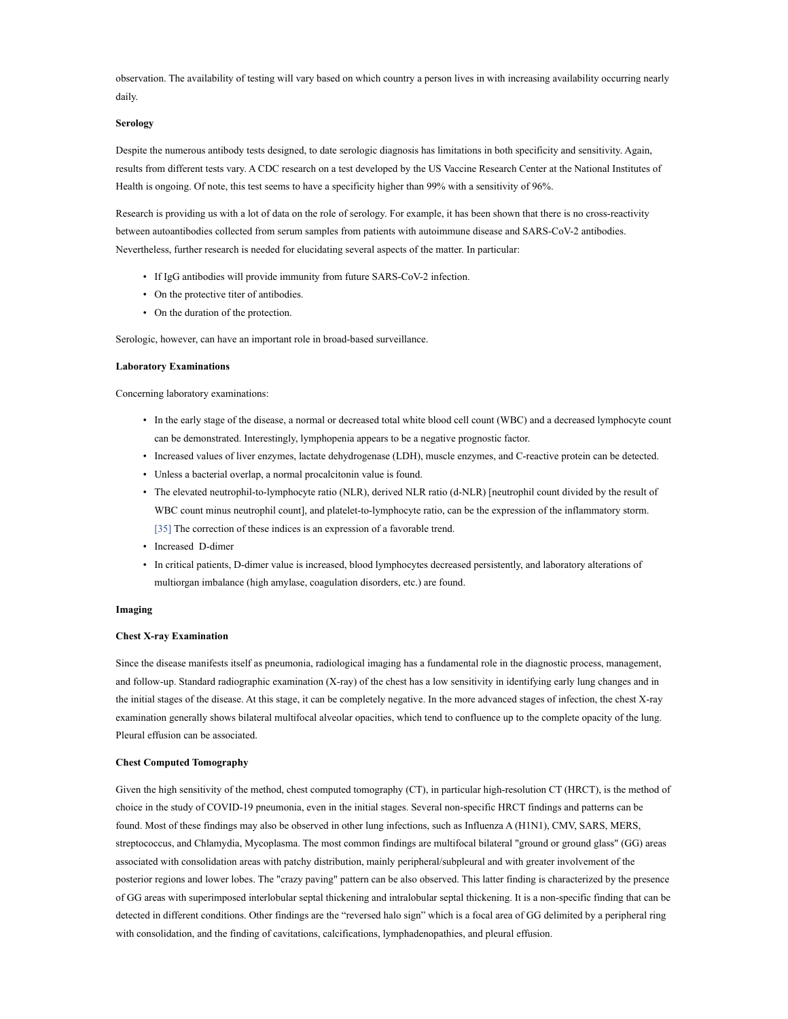observation. The availability of testing will vary based on which country a person lives in with increasing availability occurring nearly daily.

### Serology

Despite the numerous antibody tests designed, to date serologic diagnosis has limitations in both specificity and sensitivity. Again, results from different tests vary. A CDC research on a test developed by the US Vaccine Research Center at the National Institutes of Health is ongoing. Of note, this test seems to have a specificity higher than 99% with a sensitivity of 96%.

Research is providing us with a lot of data on the role of serology. For example, it has been shown that there is no cross-reactivity between autoantibodies collected from serum samples from patients with autoimmune disease and SARS-CoV-2 antibodies. Nevertheless, further research is needed for elucidating several aspects of the matter. In particular:

- If IgG antibodies will provide immunity from future SARS-CoV-2 infection.
- On the protective titer of antibodies.
- On the duration of the protection.

Serologic, however, can have an important role in broad-based surveillance.

### Laboratory Examinations

Concerning laboratory examinations:

- In the early stage of the disease, a normal or decreased total white blood cell count (WBC) and a decreased lymphocyte count can be demonstrated. Interestingly, lymphopenia appears to be a negative prognostic factor.
- Increased values of liver enzymes, lactate dehydrogenase (LDH), muscle enzymes, and C-reactive protein can be detected.
- Unless a bacterial overlap, a normal procalcitonin value is found.
- The elevated neutrophil-to-lymphocyte ratio (NLR), derived NLR ratio (d-NLR) [neutrophil count divided by the result of WBC count minus neutrophil count], and platelet-to-lymphocyte ratio, can be the expression of the inflammatory storm. [35] The correction of these indices is an expression of a favorable trend.
- Increased D-dimer
- In critical patients, D-dimer value is increased, blood lymphocytes decreased persistently, and laboratory alterations of multiorgan imbalance (high amylase, coagulation disorders, etc.) are found.

#### Imaging

### Chest X-ray Examination

Since the disease manifests itself as pneumonia, radiological imaging has a fundamental role in the diagnostic process, management, and follow-up. Standard radiographic examination (X-ray) of the chest has a low sensitivity in identifying early lung changes and in the initial stages of the disease. At this stage, it can be completely negative. In the more advanced stages of infection, the chest X-ray examination generally shows bilateral multifocal alveolar opacities, which tend to confluence up to the complete opacity of the lung. Pleural effusion can be associated.

### Chest Computed Tomography

Given the high sensitivity of the method, chest computed tomography (CT), in particular high-resolution CT (HRCT), is the method of choice in the study of COVID-19 pneumonia, even in the initial stages. Several non-specific HRCT findings and patterns can be found. Most of these findings may also be observed in other lung infections, such as Influenza A (H1N1), CMV, SARS, MERS, streptococcus, and Chlamydia, Mycoplasma. The most common findings are multifocal bilateral "ground or ground glass" (GG) areas associated with consolidation areas with patchy distribution, mainly peripheral/subpleural and with greater involvement of the posterior regions and lower lobes. The "crazy paving" pattern can be also observed. This latter finding is characterized by the presence of GG areas with superimposed interlobular septal thickening and intralobular septal thickening. It is a non-specific finding that can be detected in different conditions. Other findings are the "reversed halo sign" which is a focal area of GG delimited by a peripheral ring with consolidation, and the finding of cavitations, calcifications, lymphadenopathies, and pleural effusion.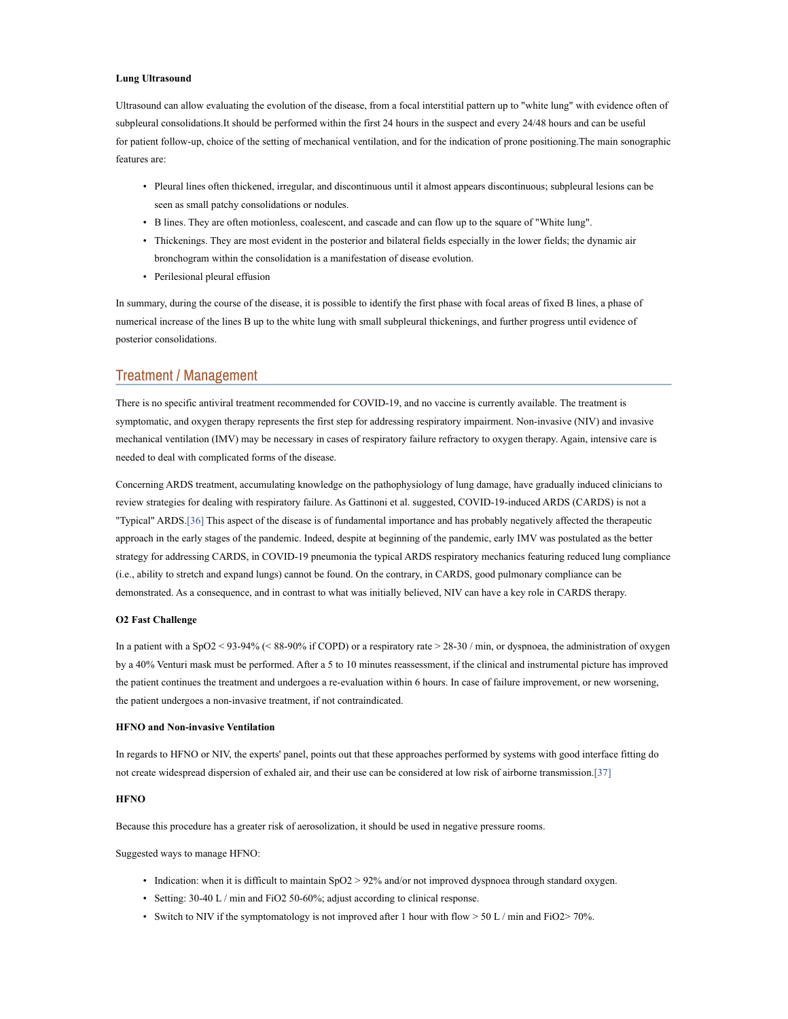### Lung Ultrasound

Ultrasound can allow evaluating the evolution of the disease, from a focal interstitial pattern up to "white lung" with evidence often of subpleural consolidations.It should be performed within the first 24 hours in the suspect and every 24/48 hours and can be useful for patient follow-up, choice of the setting of mechanical ventilation, and for the indication of prone positioning.The main sonographic features are:

- Pleural lines often thickened, irregular, and discontinuous until it almost appears discontinuous; subpleural lesions can be seen as small patchy consolidations or nodules.
- B lines. They are often motionless, coalescent, and cascade and can flow up to the square of "White lung".
- Thickenings. They are most evident in the posterior and bilateral fields especially in the lower fields; the dynamic air bronchogram within the consolidation is a manifestation of disease evolution.
- Perilesional pleural effusion

In summary, during the course of the disease, it is possible to identify the first phase with focal areas of fixed B lines, a phase of numerical increase of the lines B up to the white lung with small subpleural thickenings, and further progress until evidence of posterior consolidations.

## Treatment / Management

There is no specific antiviral treatment recommended for COVID-19, and no vaccine is currently available. The treatment is symptomatic, and oxygen therapy represents the first step for addressing respiratory impairment. Non-invasive (NIV) and invasive mechanical ventilation (IMV) may be necessary in cases of respiratory failure refractory to oxygen therapy. Again, intensive care is needed to deal with complicated forms of the disease.

Concerning ARDS treatment, accumulating knowledge on the pathophysiology of lung damage, have gradually induced clinicians to review strategies for dealing with respiratory failure. As Gattinoni et al. suggested, COVID-19-induced ARDS (CARDS) is not a "Typical" ARDS.[36] This aspect of the disease is of fundamental importance and has probably negatively affected the therapeutic approach in the early stages of the pandemic. Indeed, despite at beginning of the pandemic, early IMV was postulated as the better strategy for addressing CARDS, in COVID-19 pneumonia the typical ARDS respiratory mechanics featuring reduced lung compliance (i.e., ability to stretch and expand lungs) cannot be found. On the contrary, in CARDS, good pulmonary compliance can be demonstrated. As a consequence, and in contrast to what was initially believed, NIV can have a key role in CARDS therapy.

#### O2 Fast Challenge

In a patient with a SpO2 < 93-94% (< 88-90% if COPD) or a respiratory rate > 28-30 / min, or dyspnoea, the administration of oxygen by a 40% Venturi mask must be performed. After a 5 to 10 minutes reassessment, if the clinical and instrumental picture has improved the patient continues the treatment and undergoes a re-evaluation within 6 hours. In case of failure improvement, or new worsening, the patient undergoes a non-invasive treatment, if not contraindicated.

#### HFNO and Non-invasive Ventilation

In regards to HFNO or NIV, the experts' panel, points out that these approaches performed by systems with good interface fitting do not create widespread dispersion of exhaled air, and their use can be considered at low risk of airborne transmission.[37]

## **HFNO**

Because this procedure has a greater risk of aerosolization, it should be used in negative pressure rooms.

Suggested ways to manage HFNO:

- Indication: when it is difficult to maintain SpO2 > 92% and/or not improved dyspnoea through standard oxygen.
- Setting: 30-40 L / min and FiO2 50-60%; adjust according to clinical response.
- Switch to NIV if the symptomatology is not improved after 1 hour with flow  $> 50$  L/min and FiO2 $> 70\%$ .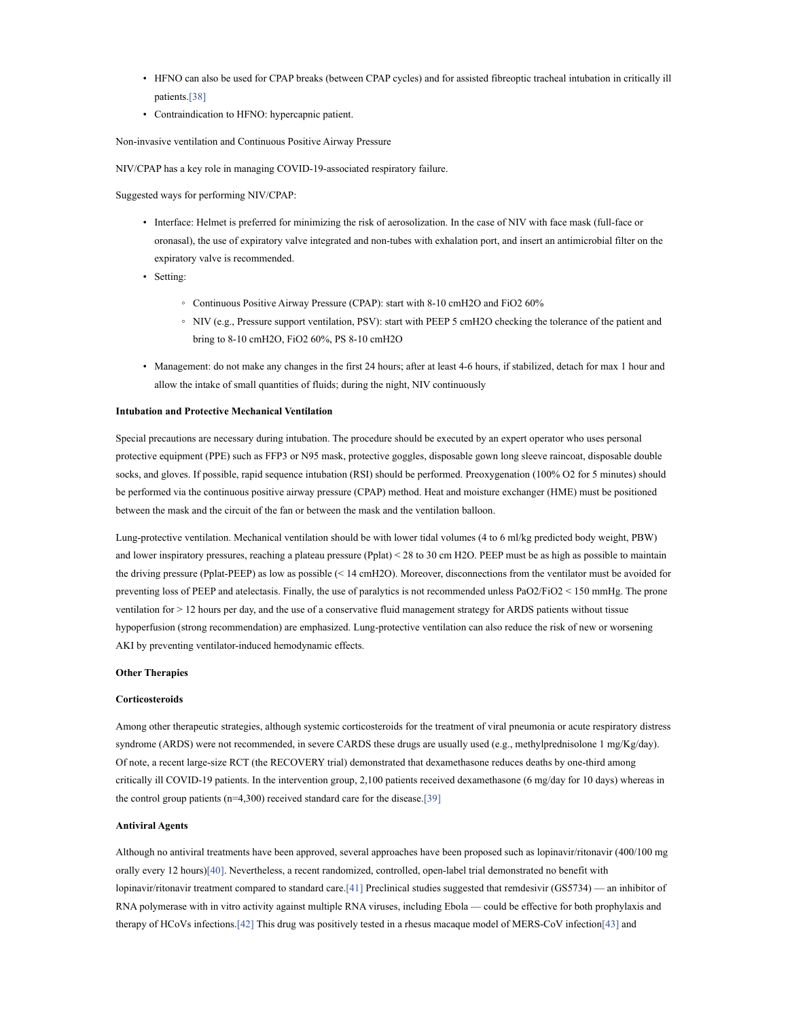- HFNO can also be used for CPAP breaks (between CPAP cycles) and for assisted fibreoptic tracheal intubation in critically ill patients.[38]
- Contraindication to HFNO: hypercapnic patient.

Non-invasive ventilation and Continuous Positive Airway Pressure

NIV/CPAP has a key role in managing COVID-19-associated respiratory failure.

Suggested ways for performing NIV/CPAP:

- Interface: Helmet is preferred for minimizing the risk of aerosolization. In the case of NIV with face mask (full-face or oronasal), the use of expiratory valve integrated and non-tubes with exhalation port, and insert an antimicrobial filter on the expiratory valve is recommended.
- Setting:
	- Continuous Positive Airway Pressure (CPAP): start with 8-10 cmH2O and FiO2 60%
	- NIV (e.g., Pressure support ventilation, PSV): start with PEEP 5 cmH2O checking the tolerance of the patient and bring to 8-10 cmH2O, FiO2 60%, PS 8-10 cmH2O
- Management: do not make any changes in the first 24 hours; after at least 4-6 hours, if stabilized, detach for max 1 hour and allow the intake of small quantities of fluids; during the night, NIV continuously

### Intubation and Protective Mechanical Ventilation

Special precautions are necessary during intubation. The procedure should be executed by an expert operator who uses personal protective equipment (PPE) such as FFP3 or N95 mask, protective goggles, disposable gown long sleeve raincoat, disposable double socks, and gloves. If possible, rapid sequence intubation (RSI) should be performed. Preoxygenation (100% O2 for 5 minutes) should be performed via the continuous positive airway pressure (CPAP) method. Heat and moisture exchanger (HME) must be positioned between the mask and the circuit of the fan or between the mask and the ventilation balloon.

Lung-protective ventilation. Mechanical ventilation should be with lower tidal volumes (4 to 6 ml/kg predicted body weight, PBW) and lower inspiratory pressures, reaching a plateau pressure (Pplat) < 28 to 30 cm H2O. PEEP must be as high as possible to maintain the driving pressure (Pplat-PEEP) as low as possible (< 14 cmH2O). Moreover, disconnections from the ventilator must be avoided for preventing loss of PEEP and atelectasis. Finally, the use of paralytics is not recommended unless PaO2/FiO2 < 150 mmHg. The prone ventilation for > 12 hours per day, and the use of a conservative fluid management strategy for ARDS patients without tissue hypoperfusion (strong recommendation) are emphasized. Lung-protective ventilation can also reduce the risk of new or worsening AKI by preventing ventilator-induced hemodynamic effects.

### Other Therapies

#### **Corticosteroids**

Among other therapeutic strategies, although systemic corticosteroids for the treatment of viral pneumonia or acute respiratory distress syndrome (ARDS) were not recommended, in severe CARDS these drugs are usually used (e.g., methylprednisolone 1 mg/Kg/day). Of note, a recent large-size RCT (the RECOVERY trial) demonstrated that dexamethasone reduces deaths by one-third among critically ill COVID-19 patients. In the intervention group, 2,100 patients received dexamethasone (6 mg/day for 10 days) whereas in the control group patients  $(n=4,300)$  received standard care for the disease.[39]

### Antiviral Agents

Although no antiviral treatments have been approved, several approaches have been proposed such as lopinavir/ritonavir (400/100 mg orally every 12 hours)[40]. Nevertheless, a recent randomized, controlled, open-label trial demonstrated no benefit with lopinavir/ritonavir treatment compared to standard care.[41] Preclinical studies suggested that remdesivir (GS5734) — an inhibitor of RNA polymerase with in vitro activity against multiple RNA viruses, including Ebola — could be effective for both prophylaxis and therapy of HCoVs infections.[42] This drug was positively tested in a rhesus macaque model of MERS-CoV infection[43] and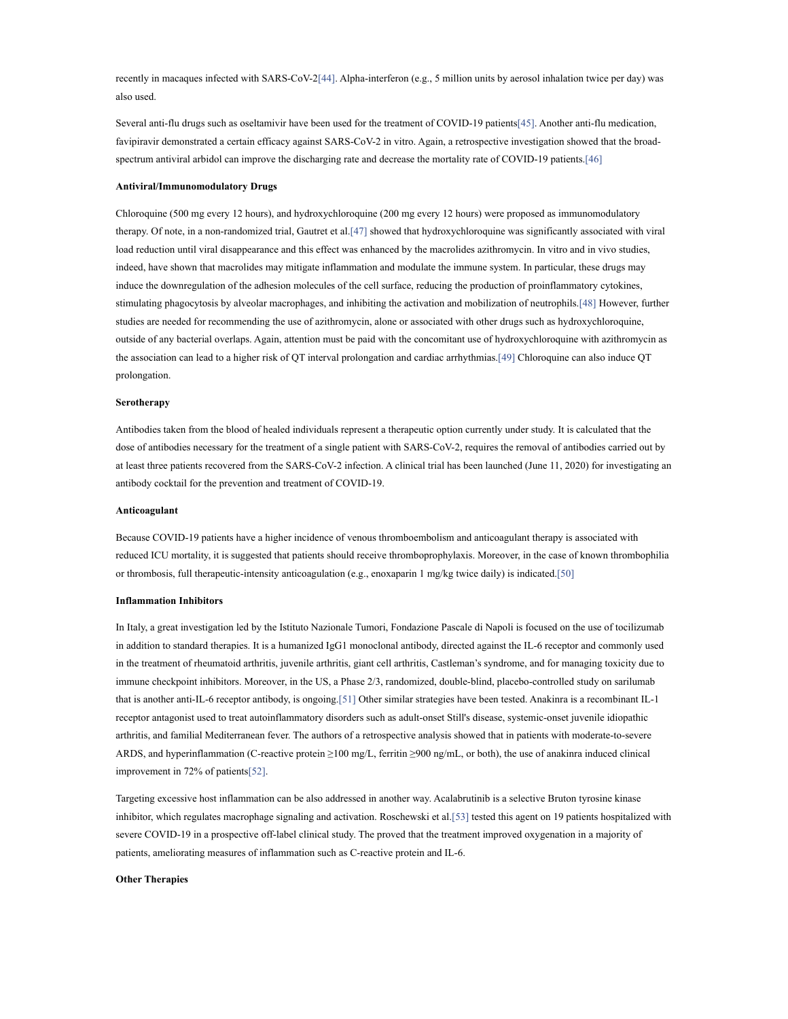recently in macaques infected with SARS-CoV-2[44]. Alpha-interferon (e.g., 5 million units by aerosol inhalation twice per day) was also used.

Several anti-flu drugs such as oseltamivir have been used for the treatment of COVID-19 patients[45]. Another anti-flu medication, favipiravir demonstrated a certain efficacy against SARS-CoV-2 in vitro. Again, a retrospective investigation showed that the broadspectrum antiviral arbidol can improve the discharging rate and decrease the mortality rate of COVID-19 patients.[46]

#### Antiviral/Immunomodulatory Drugs

Chloroquine (500 mg every 12 hours), and hydroxychloroquine (200 mg every 12 hours) were proposed as immunomodulatory therapy. Of note, in a non-randomized trial, Gautret et al.[47] showed that hydroxychloroquine was significantly associated with viral load reduction until viral disappearance and this effect was enhanced by the macrolides azithromycin. In vitro and in vivo studies, indeed, have shown that macrolides may mitigate inflammation and modulate the immune system. In particular, these drugs may induce the downregulation of the adhesion molecules of the cell surface, reducing the production of proinflammatory cytokines, stimulating phagocytosis by alveolar macrophages, and inhibiting the activation and mobilization of neutrophils.[48] However, further studies are needed for recommending the use of azithromycin, alone or associated with other drugs such as hydroxychloroquine, outside of any bacterial overlaps. Again, attention must be paid with the concomitant use of hydroxychloroquine with azithromycin as the association can lead to a higher risk of QT interval prolongation and cardiac arrhythmias.[49] Chloroquine can also induce QT prolongation.

#### Serotherapy

Antibodies taken from the blood of healed individuals represent a therapeutic option currently under study. It is calculated that the dose of antibodies necessary for the treatment of a single patient with SARS-CoV-2, requires the removal of antibodies carried out by at least three patients recovered from the SARS-CoV-2 infection. A clinical trial has been launched (June 11, 2020) for investigating an antibody cocktail for the prevention and treatment of COVID-19.

#### Anticoagulant

Because COVID-19 patients have a higher incidence of venous thromboembolism and anticoagulant therapy is associated with reduced ICU mortality, it is suggested that patients should receive thromboprophylaxis. Moreover, in the case of known thrombophilia or thrombosis, full therapeutic-intensity anticoagulation (e.g., enoxaparin 1 mg/kg twice daily) is indicated.[50]

#### Inflammation Inhibitors

In Italy, a great investigation led by the Istituto Nazionale Tumori, Fondazione Pascale di Napoli is focused on the use of tocilizumab in addition to standard therapies. It is a humanized IgG1 monoclonal antibody, directed against the IL-6 receptor and commonly used in the treatment of rheumatoid arthritis, juvenile arthritis, giant cell arthritis, Castleman's syndrome, and for managing toxicity due to immune checkpoint inhibitors. Moreover, in the US, a Phase 2/3, randomized, double-blind, placebo-controlled study on sarilumab that is another anti-IL-6 receptor antibody, is ongoing.[51] Other similar strategies have been tested. Anakinra is a recombinant IL-1 receptor antagonist used to treat autoinflammatory disorders such as adult-onset Still's disease, systemic-onset juvenile idiopathic arthritis, and familial Mediterranean fever. The authors of a retrospective analysis showed that in patients with moderate-to-severe ARDS, and hyperinflammation (C-reactive protein ≥100 mg/L, ferritin ≥900 ng/mL, or both), the use of anakinra induced clinical improvement in 72% of patients[52].

Targeting excessive host inflammation can be also addressed in another way. Acalabrutinib is a selective Bruton tyrosine kinase inhibitor, which regulates macrophage signaling and activation. Roschewski et al.[53] tested this agent on 19 patients hospitalized with severe COVID-19 in a prospective off-label clinical study. The proved that the treatment improved oxygenation in a majority of patients, ameliorating measures of inflammation such as C-reactive protein and IL-6.

### Other Therapies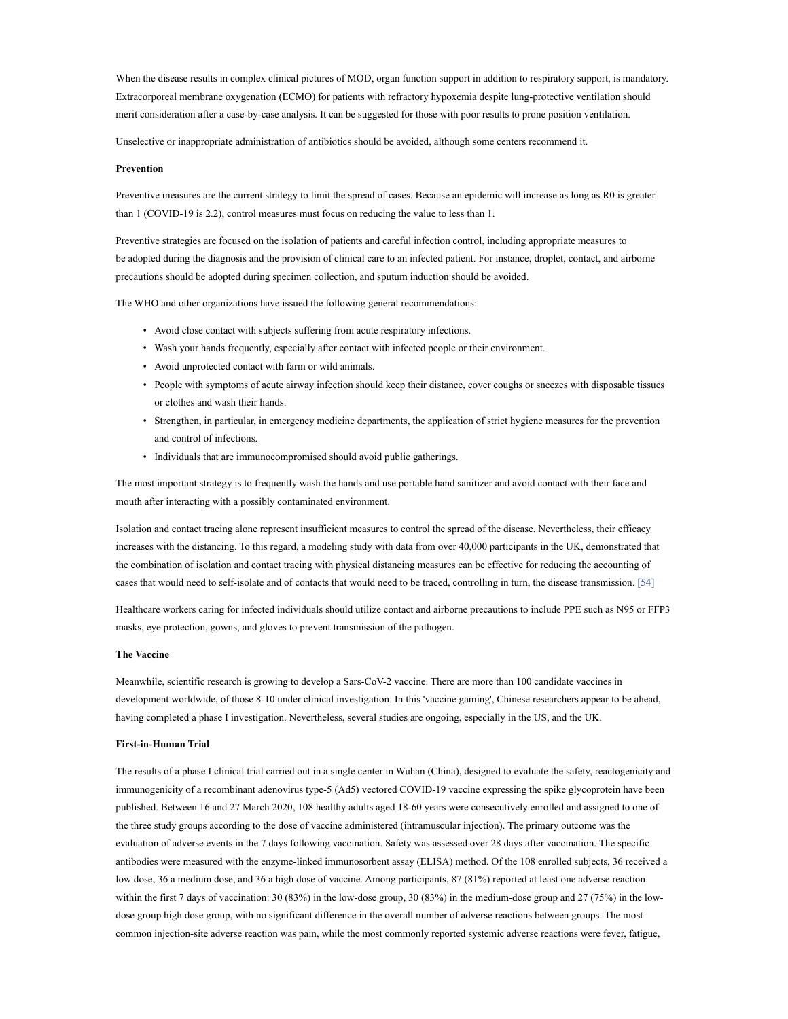When the disease results in complex clinical pictures of MOD, organ function support in addition to respiratory support, is mandatory. Extracorporeal membrane oxygenation (ECMO) for patients with refractory hypoxemia despite lung-protective ventilation should merit consideration after a case-by-case analysis. It can be suggested for those with poor results to prone position ventilation.

Unselective or inappropriate administration of antibiotics should be avoided, although some centers recommend it.

## Prevention

Preventive measures are the current strategy to limit the spread of cases. Because an epidemic will increase as long as R0 is greater than 1 (COVID-19 is 2.2), control measures must focus on reducing the value to less than 1.

Preventive strategies are focused on the isolation of patients and careful infection control, including appropriate measures to be adopted during the diagnosis and the provision of clinical care to an infected patient. For instance, droplet, contact, and airborne precautions should be adopted during specimen collection, and sputum induction should be avoided.

The WHO and other organizations have issued the following general recommendations:

- Avoid close contact with subjects suffering from acute respiratory infections.
- Wash your hands frequently, especially after contact with infected people or their environment.
- Avoid unprotected contact with farm or wild animals.
- People with symptoms of acute airway infection should keep their distance, cover coughs or sneezes with disposable tissues or clothes and wash their hands.
- Strengthen, in particular, in emergency medicine departments, the application of strict hygiene measures for the prevention and control of infections.
- Individuals that are immunocompromised should avoid public gatherings.

The most important strategy is to frequently wash the hands and use portable hand sanitizer and avoid contact with their face and mouth after interacting with a possibly contaminated environment.

Isolation and contact tracing alone represent insufficient measures to control the spread of the disease. Nevertheless, their efficacy increases with the distancing. To this regard, a modeling study with data from over 40,000 participants in the UK, demonstrated that the combination of isolation and contact tracing with physical distancing measures can be effective for reducing the accounting of cases that would need to self-isolate and of contacts that would need to be traced, controlling in turn, the disease transmission. [54]

Healthcare workers caring for infected individuals should utilize contact and airborne precautions to include PPE such as N95 or FFP3 masks, eye protection, gowns, and gloves to prevent transmission of the pathogen.

#### The Vaccine

Meanwhile, scientific research is growing to develop a Sars-CoV-2 vaccine. There are more than 100 candidate vaccines in development worldwide, of those 8-10 under clinical investigation. In this 'vaccine gaming', Chinese researchers appear to be ahead, having completed a phase I investigation. Nevertheless, several studies are ongoing, especially in the US, and the UK.

#### First-in-Human Trial

The results of a phase I clinical trial carried out in a single center in Wuhan (China), designed to evaluate the safety, reactogenicity and immunogenicity of a recombinant adenovirus type-5 (Ad5) vectored COVID-19 vaccine expressing the spike glycoprotein have been published. Between 16 and 27 March 2020, 108 healthy adults aged 18-60 years were consecutively enrolled and assigned to one of the three study groups according to the dose of vaccine administered (intramuscular injection). The primary outcome was the evaluation of adverse events in the 7 days following vaccination. Safety was assessed over 28 days after vaccination. The specific antibodies were measured with the enzyme-linked immunosorbent assay (ELISA) method. Of the 108 enrolled subjects, 36 received a low dose, 36 a medium dose, and 36 a high dose of vaccine. Among participants, 87 (81%) reported at least one adverse reaction within the first 7 days of vaccination: 30 (83%) in the low-dose group, 30 (83%) in the medium-dose group and 27 (75%) in the lowdose group high dose group, with no significant difference in the overall number of adverse reactions between groups. The most common injection-site adverse reaction was pain, while the most commonly reported systemic adverse reactions were fever, fatigue,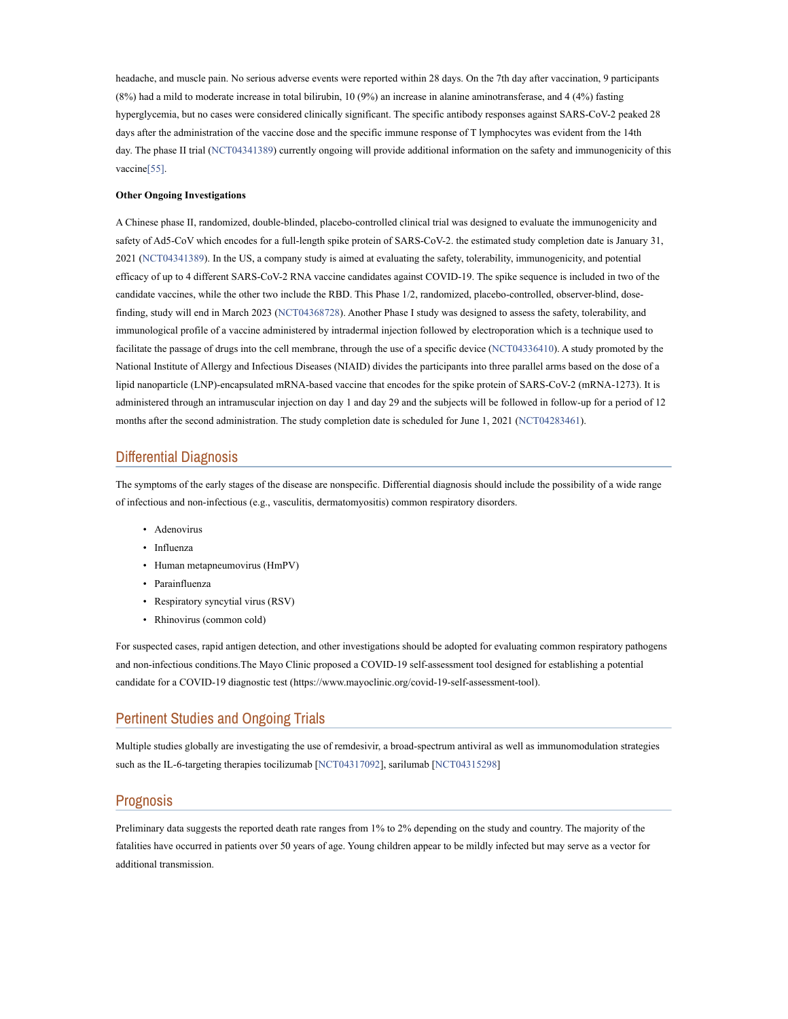headache, and muscle pain. No serious adverse events were reported within 28 days. On the 7th day after vaccination, 9 participants (8%) had a mild to moderate increase in total bilirubin, 10 (9%) an increase in alanine aminotransferase, and 4 (4%) fasting hyperglycemia, but no cases were considered clinically significant. The specific antibody responses against SARS-CoV-2 peaked 28 days after the administration of the vaccine dose and the specific immune response of T lymphocytes was evident from the 14th day. The phase II trial (NCT04341389) currently ongoing will provide additional information on the safety and immunogenicity of this vaccine[55].

#### Other Ongoing Investigations

A Chinese phase II, randomized, double-blinded, placebo-controlled clinical trial was designed to evaluate the immunogenicity and safety of Ad5-CoV which encodes for a full-length spike protein of SARS-CoV-2. the estimated study completion date is January 31, 2021 (NCT04341389). In the US, a company study is aimed at evaluating the safety, tolerability, immunogenicity, and potential efficacy of up to 4 different SARS-CoV-2 RNA vaccine candidates against COVID-19. The spike sequence is included in two of the candidate vaccines, while the other two include the RBD. This Phase 1/2, randomized, placebo-controlled, observer-blind, dosefinding, study will end in March 2023 (NCT04368728). Another Phase I study was designed to assess the safety, tolerability, and immunological profile of a vaccine administered by intradermal injection followed by electroporation which is a technique used to facilitate the passage of drugs into the cell membrane, through the use of a specific device (NCT04336410). A study promoted by the National Institute of Allergy and Infectious Diseases (NIAID) divides the participants into three parallel arms based on the dose of a lipid nanoparticle (LNP)-encapsulated mRNA-based vaccine that encodes for the spike protein of SARS-CoV-2 (mRNA-1273). It is administered through an intramuscular injection on day 1 and day 29 and the subjects will be followed in follow-up for a period of 12 months after the second administration. The study completion date is scheduled for June 1, 2021 (NCT04283461).

# Differential Diagnosis

The symptoms of the early stages of the disease are nonspecific. Differential diagnosis should include the possibility of a wide range of infectious and non-infectious (e.g., vasculitis, dermatomyositis) common respiratory disorders.

- Adenovirus
- Influenza
- Human metapneumovirus (HmPV)
- Parainfluenza
- Respiratory syncytial virus (RSV)
- Rhinovirus (common cold)

For suspected cases, rapid antigen detection, and other investigations should be adopted for evaluating common respiratory pathogens and non-infectious conditions.The Mayo Clinic proposed a COVID-19 self-assessment tool designed for establishing a potential candidate for a COVID-19 diagnostic test (https://www.mayoclinic.org/covid-19-self-assessment-tool).

# Pertinent Studies and Ongoing Trials

Multiple studies globally are investigating the use of remdesivir, a broad-spectrum antiviral as well as immunomodulation strategies such as the IL-6-targeting therapies tocilizumab [NCT04317092], sarilumab [NCT04315298]

## Prognosis

Preliminary data suggests the reported death rate ranges from 1% to 2% depending on the study and country. The majority of the fatalities have occurred in patients over 50 years of age. Young children appear to be mildly infected but may serve as a vector for additional transmission.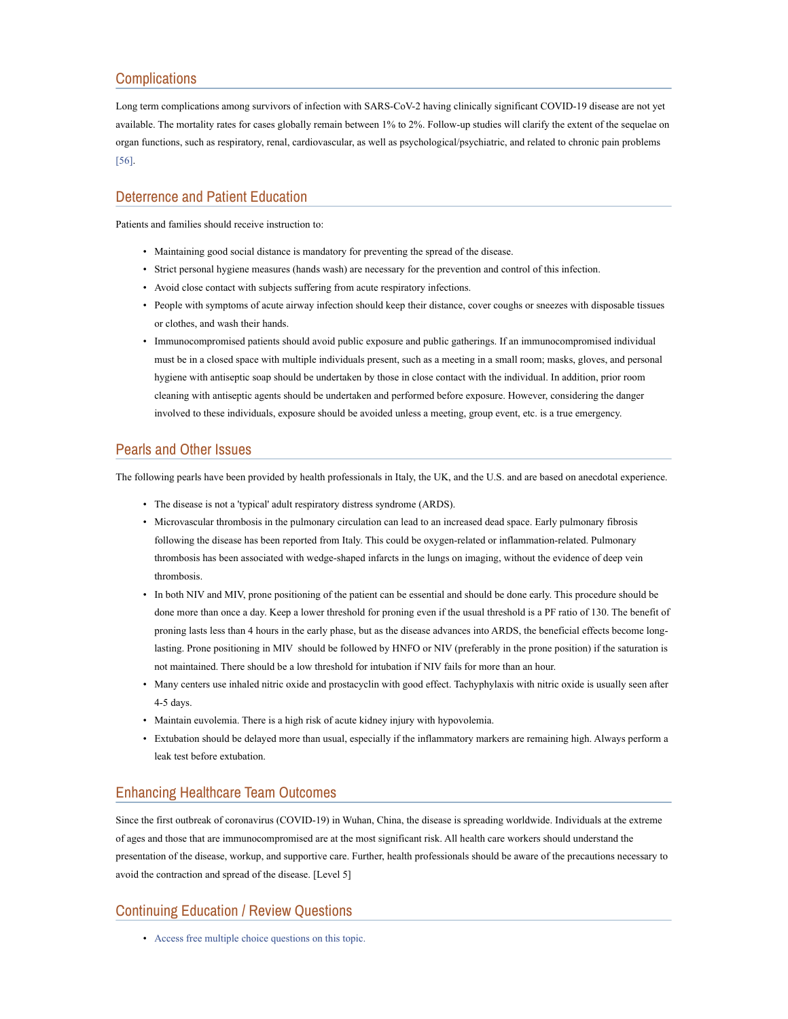# **Complications**

Long term complications among survivors of infection with SARS-CoV-2 having clinically significant COVID-19 disease are not yet available. The mortality rates for cases globally remain between 1% to 2%. Follow-up studies will clarify the extent of the sequelae on organ functions, such as respiratory, renal, cardiovascular, as well as psychological/psychiatric, and related to chronic pain problems [56].

## Deterrence and Patient Education

Patients and families should receive instruction to:

- Maintaining good social distance is mandatory for preventing the spread of the disease.
- Strict personal hygiene measures (hands wash) are necessary for the prevention and control of this infection.
- Avoid close contact with subjects suffering from acute respiratory infections.
- People with symptoms of acute airway infection should keep their distance, cover coughs or sneezes with disposable tissues or clothes, and wash their hands.
- Immunocompromised patients should avoid public exposure and public gatherings. If an immunocompromised individual must be in a closed space with multiple individuals present, such as a meeting in a small room; masks, gloves, and personal hygiene with antiseptic soap should be undertaken by those in close contact with the individual. In addition, prior room cleaning with antiseptic agents should be undertaken and performed before exposure. However, considering the danger involved to these individuals, exposure should be avoided unless a meeting, group event, etc. is a true emergency.

# Pearls and Other Issues

The following pearls have been provided by health professionals in Italy, the UK, and the U.S. and are based on anecdotal experience.

- The disease is not a 'typical' adult respiratory distress syndrome (ARDS).
- Microvascular thrombosis in the pulmonary circulation can lead to an increased dead space. Early pulmonary fibrosis following the disease has been reported from Italy. This could be oxygen-related or inflammation-related. Pulmonary thrombosis has been associated with wedge-shaped infarcts in the lungs on imaging, without the evidence of deep vein thrombosis.
- In both NIV and MIV, prone positioning of the patient can be essential and should be done early. This procedure should be done more than once a day. Keep a lower threshold for proning even if the usual threshold is a PF ratio of 130. The benefit of proning lasts less than 4 hours in the early phase, but as the disease advances into ARDS, the beneficial effects become longlasting. Prone positioning in MIV should be followed by HNFO or NIV (preferably in the prone position) if the saturation is not maintained. There should be a low threshold for intubation if NIV fails for more than an hour.
- Many centers use inhaled nitric oxide and prostacyclin with good effect. Tachyphylaxis with nitric oxide is usually seen after 4-5 days.
- Maintain euvolemia. There is a high risk of acute kidney injury with hypovolemia.
- Extubation should be delayed more than usual, especially if the inflammatory markers are remaining high. Always perform a leak test before extubation.

# Enhancing Healthcare Team Outcomes

Since the first outbreak of coronavirus (COVID-19) in Wuhan, China, the disease is spreading worldwide. Individuals at the extreme of ages and those that are immunocompromised are at the most significant risk. All health care workers should understand the presentation of the disease, workup, and supportive care. Further, health professionals should be aware of the precautions necessary to avoid the contraction and spread of the disease. [Level 5]

# Continuing Education / Review Questions

• Access free multiple choice questions on this topic.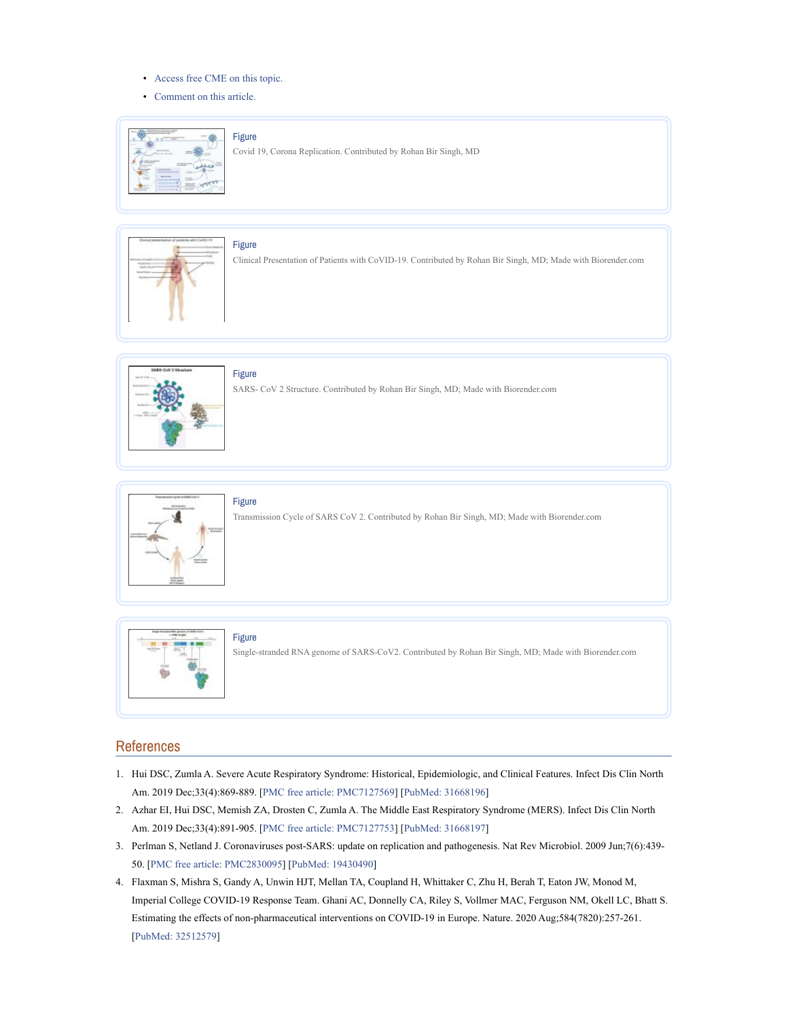- Access free CME on this topic.
- Comment on this article.



## Figure

Covid 19, Corona Replication. Contributed by Rohan Bir Singh, MD



Figure

Clinical Presentation of Patients with CoVID-19. Contributed by Rohan Bir Singh, MD; Made with Biorender.com



# Figure

SARS- CoV 2 Structure. Contributed by Rohan Bir Singh, MD; Made with Biorender.com



Transmission Cycle of SARS CoV 2. Contributed by Rohan Bir Singh, MD; Made with Biorender.com



## Figure

Single-stranded RNA genome of SARS-CoV2. Contributed by Rohan Bir Singh, MD; Made with Biorender.com

# References

- 1. Hui DSC, Zumla A. Severe Acute Respiratory Syndrome: Historical, Epidemiologic, and Clinical Features. Infect Dis Clin North Am. 2019 Dec;33(4):869-889. [PMC free article: PMC7127569] [PubMed: 31668196]
- 2. Azhar EI, Hui DSC, Memish ZA, Drosten C, Zumla A. The Middle East Respiratory Syndrome (MERS). Infect Dis Clin North Am. 2019 Dec;33(4):891-905. [PMC free article: PMC7127753] [PubMed: 31668197]
- 3. Perlman S, Netland J. Coronaviruses post-SARS: update on replication and pathogenesis. Nat Rev Microbiol. 2009 Jun;7(6):439- 50. [PMC free article: PMC2830095] [PubMed: 19430490]
- 4. Flaxman S, Mishra S, Gandy A, Unwin HJT, Mellan TA, Coupland H, Whittaker C, Zhu H, Berah T, Eaton JW, Monod M, Imperial College COVID-19 Response Team. Ghani AC, Donnelly CA, Riley S, Vollmer MAC, Ferguson NM, Okell LC, Bhatt S. Estimating the effects of non-pharmaceutical interventions on COVID-19 in Europe. Nature. 2020 Aug;584(7820):257-261. [PubMed: 32512579]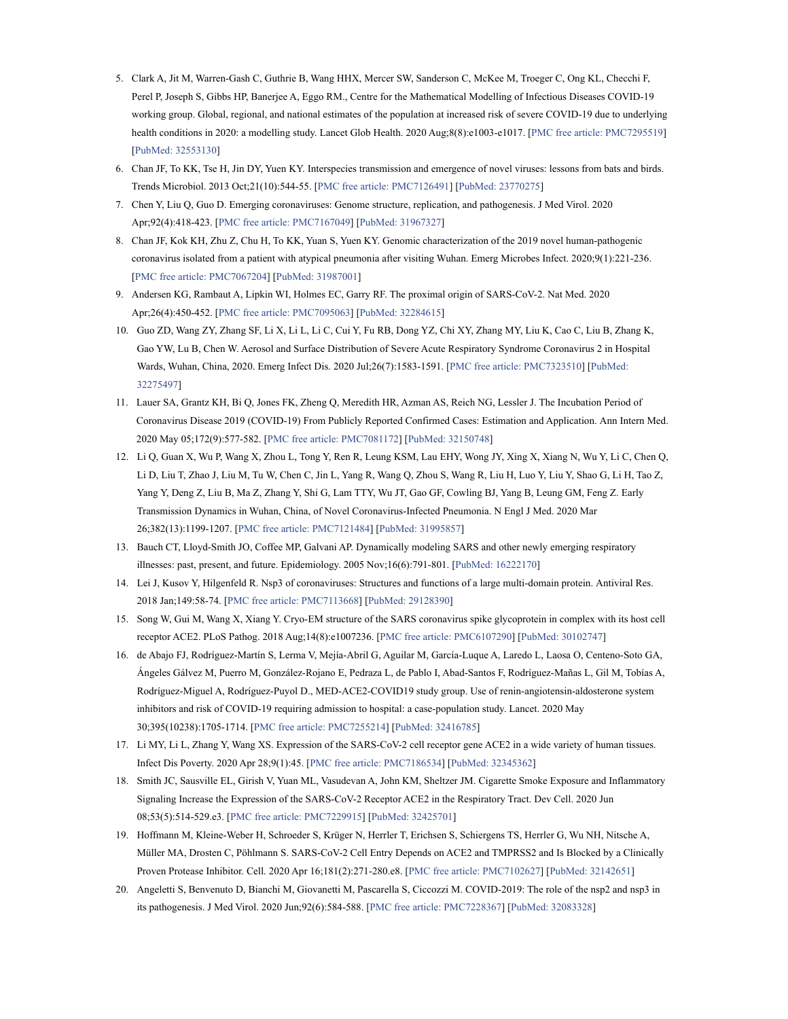- 5. Clark A, Jit M, Warren-Gash C, Guthrie B, Wang HHX, Mercer SW, Sanderson C, McKee M, Troeger C, Ong KL, Checchi F, Perel P, Joseph S, Gibbs HP, Banerjee A, Eggo RM., Centre for the Mathematical Modelling of Infectious Diseases COVID-19 working group. Global, regional, and national estimates of the population at increased risk of severe COVID-19 due to underlying health conditions in 2020: a modelling study. Lancet Glob Health. 2020 Aug;8(8):e1003-e1017. [PMC free article: PMC7295519] [PubMed: 32553130]
- 6. Chan JF, To KK, Tse H, Jin DY, Yuen KY. Interspecies transmission and emergence of novel viruses: lessons from bats and birds. Trends Microbiol. 2013 Oct;21(10):544-55. [PMC free article: PMC7126491] [PubMed: 23770275]
- 7. Chen Y, Liu Q, Guo D. Emerging coronaviruses: Genome structure, replication, and pathogenesis. J Med Virol. 2020 Apr;92(4):418-423. [PMC free article: PMC7167049] [PubMed: 31967327]
- 8. Chan JF, Kok KH, Zhu Z, Chu H, To KK, Yuan S, Yuen KY. Genomic characterization of the 2019 novel human-pathogenic coronavirus isolated from a patient with atypical pneumonia after visiting Wuhan. Emerg Microbes Infect. 2020;9(1):221-236. [PMC free article: PMC7067204] [PubMed: 31987001]
- 9. Andersen KG, Rambaut A, Lipkin WI, Holmes EC, Garry RF. The proximal origin of SARS-CoV-2. Nat Med. 2020 Apr;26(4):450-452. [PMC free article: PMC7095063] [PubMed: 32284615]
- 10. Guo ZD, Wang ZY, Zhang SF, Li X, Li L, Li C, Cui Y, Fu RB, Dong YZ, Chi XY, Zhang MY, Liu K, Cao C, Liu B, Zhang K, Gao YW, Lu B, Chen W. Aerosol and Surface Distribution of Severe Acute Respiratory Syndrome Coronavirus 2 in Hospital Wards, Wuhan, China, 2020. Emerg Infect Dis. 2020 Jul;26(7):1583-1591. [PMC free article: PMC7323510] [PubMed: 32275497]
- 11. Lauer SA, Grantz KH, Bi Q, Jones FK, Zheng Q, Meredith HR, Azman AS, Reich NG, Lessler J. The Incubation Period of Coronavirus Disease 2019 (COVID-19) From Publicly Reported Confirmed Cases: Estimation and Application. Ann Intern Med. 2020 May 05;172(9):577-582. [PMC free article: PMC7081172] [PubMed: 32150748]
- 12. Li Q, Guan X, Wu P, Wang X, Zhou L, Tong Y, Ren R, Leung KSM, Lau EHY, Wong JY, Xing X, Xiang N, Wu Y, Li C, Chen Q, Li D, Liu T, Zhao J, Liu M, Tu W, Chen C, Jin L, Yang R, Wang Q, Zhou S, Wang R, Liu H, Luo Y, Liu Y, Shao G, Li H, Tao Z, Yang Y, Deng Z, Liu B, Ma Z, Zhang Y, Shi G, Lam TTY, Wu JT, Gao GF, Cowling BJ, Yang B, Leung GM, Feng Z. Early Transmission Dynamics in Wuhan, China, of Novel Coronavirus-Infected Pneumonia. N Engl J Med. 2020 Mar 26;382(13):1199-1207. [PMC free article: PMC7121484] [PubMed: 31995857]
- 13. Bauch CT, Lloyd-Smith JO, Coffee MP, Galvani AP. Dynamically modeling SARS and other newly emerging respiratory illnesses: past, present, and future. Epidemiology. 2005 Nov;16(6):791-801. [PubMed: 16222170]
- 14. Lei J, Kusov Y, Hilgenfeld R. Nsp3 of coronaviruses: Structures and functions of a large multi-domain protein. Antiviral Res. 2018 Jan;149:58-74. [PMC free article: PMC7113668] [PubMed: 29128390]
- 15. Song W, Gui M, Wang X, Xiang Y. Cryo-EM structure of the SARS coronavirus spike glycoprotein in complex with its host cell receptor ACE2. PLoS Pathog. 2018 Aug;14(8):e1007236. [PMC free article: PMC6107290] [PubMed: 30102747]
- 16. de Abajo FJ, Rodríguez-Martín S, Lerma V, Mejía-Abril G, Aguilar M, García-Luque A, Laredo L, Laosa O, Centeno-Soto GA, Ángeles Gálvez M, Puerro M, González-Rojano E, Pedraza L, de Pablo I, Abad-Santos F, Rodríguez-Mañas L, Gil M, Tobías A, Rodríguez-Miguel A, Rodríguez-Puyol D., MED-ACE2-COVID19 study group. Use of renin-angiotensin-aldosterone system inhibitors and risk of COVID-19 requiring admission to hospital: a case-population study. Lancet. 2020 May 30;395(10238):1705-1714. [PMC free article: PMC7255214] [PubMed: 32416785]
- 17. Li MY, Li L, Zhang Y, Wang XS. Expression of the SARS-CoV-2 cell receptor gene ACE2 in a wide variety of human tissues. Infect Dis Poverty. 2020 Apr 28;9(1):45. [PMC free article: PMC7186534] [PubMed: 32345362]
- 18. Smith JC, Sausville EL, Girish V, Yuan ML, Vasudevan A, John KM, Sheltzer JM. Cigarette Smoke Exposure and Inflammatory Signaling Increase the Expression of the SARS-CoV-2 Receptor ACE2 in the Respiratory Tract. Dev Cell. 2020 Jun 08;53(5):514-529.e3. [PMC free article: PMC7229915] [PubMed: 32425701]
- 19. Hoffmann M, Kleine-Weber H, Schroeder S, Krüger N, Herrler T, Erichsen S, Schiergens TS, Herrler G, Wu NH, Nitsche A, Müller MA, Drosten C, Pöhlmann S. SARS-CoV-2 Cell Entry Depends on ACE2 and TMPRSS2 and Is Blocked by a Clinically Proven Protease Inhibitor. Cell. 2020 Apr 16;181(2):271-280.e8. [PMC free article: PMC7102627] [PubMed: 32142651]
- 20. Angeletti S, Benvenuto D, Bianchi M, Giovanetti M, Pascarella S, Ciccozzi M. COVID-2019: The role of the nsp2 and nsp3 in its pathogenesis. J Med Virol. 2020 Jun;92(6):584-588. [PMC free article: PMC7228367] [PubMed: 32083328]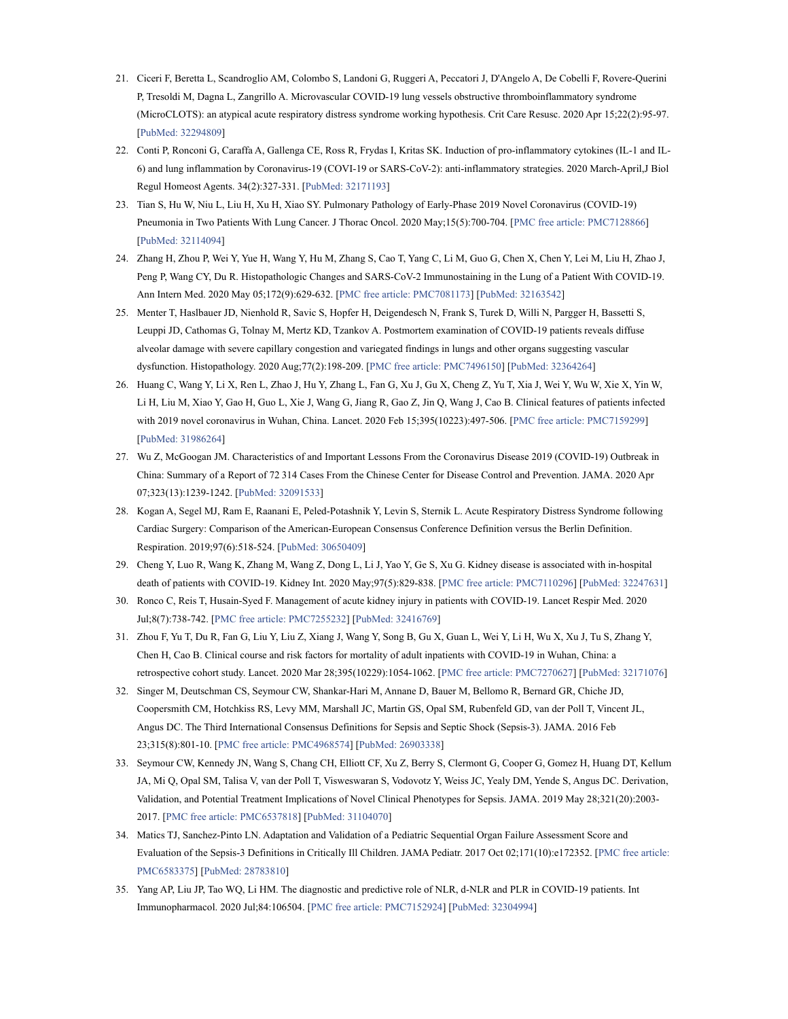- 21. Ciceri F, Beretta L, Scandroglio AM, Colombo S, Landoni G, Ruggeri A, Peccatori J, D'Angelo A, De Cobelli F, Rovere-Querini P, Tresoldi M, Dagna L, Zangrillo A. Microvascular COVID-19 lung vessels obstructive thromboinflammatory syndrome (MicroCLOTS): an atypical acute respiratory distress syndrome working hypothesis. Crit Care Resusc. 2020 Apr 15;22(2):95-97. [PubMed: 32294809]
- 22. Conti P, Ronconi G, Caraffa A, Gallenga CE, Ross R, Frydas I, Kritas SK. Induction of pro-inflammatory cytokines (IL-1 and IL-6) and lung inflammation by Coronavirus-19 (COVI-19 or SARS-CoV-2): anti-inflammatory strategies. 2020 March-April,J Biol Regul Homeost Agents. 34(2):327-331. [PubMed: 32171193]
- 23. Tian S, Hu W, Niu L, Liu H, Xu H, Xiao SY. Pulmonary Pathology of Early-Phase 2019 Novel Coronavirus (COVID-19) Pneumonia in Two Patients With Lung Cancer. J Thorac Oncol. 2020 May;15(5):700-704. [PMC free article: PMC7128866] [PubMed: 32114094]
- 24. Zhang H, Zhou P, Wei Y, Yue H, Wang Y, Hu M, Zhang S, Cao T, Yang C, Li M, Guo G, Chen X, Chen Y, Lei M, Liu H, Zhao J, Peng P, Wang CY, Du R. Histopathologic Changes and SARS-CoV-2 Immunostaining in the Lung of a Patient With COVID-19. Ann Intern Med. 2020 May 05;172(9):629-632. [PMC free article: PMC7081173] [PubMed: 32163542]
- 25. Menter T, Haslbauer JD, Nienhold R, Savic S, Hopfer H, Deigendesch N, Frank S, Turek D, Willi N, Pargger H, Bassetti S, Leuppi JD, Cathomas G, Tolnay M, Mertz KD, Tzankov A. Postmortem examination of COVID-19 patients reveals diffuse alveolar damage with severe capillary congestion and variegated findings in lungs and other organs suggesting vascular dysfunction. Histopathology. 2020 Aug;77(2):198-209. [PMC free article: PMC7496150] [PubMed: 32364264]
- 26. Huang C, Wang Y, Li X, Ren L, Zhao J, Hu Y, Zhang L, Fan G, Xu J, Gu X, Cheng Z, Yu T, Xia J, Wei Y, Wu W, Xie X, Yin W, Li H, Liu M, Xiao Y, Gao H, Guo L, Xie J, Wang G, Jiang R, Gao Z, Jin Q, Wang J, Cao B. Clinical features of patients infected with 2019 novel coronavirus in Wuhan, China. Lancet. 2020 Feb 15;395(10223):497-506. [PMC free article: PMC7159299] [PubMed: 31986264]
- 27. Wu Z, McGoogan JM. Characteristics of and Important Lessons From the Coronavirus Disease 2019 (COVID-19) Outbreak in China: Summary of a Report of 72 314 Cases From the Chinese Center for Disease Control and Prevention. JAMA. 2020 Apr 07;323(13):1239-1242. [PubMed: 32091533]
- 28. Kogan A, Segel MJ, Ram E, Raanani E, Peled-Potashnik Y, Levin S, Sternik L. Acute Respiratory Distress Syndrome following Cardiac Surgery: Comparison of the American-European Consensus Conference Definition versus the Berlin Definition. Respiration. 2019;97(6):518-524. [PubMed: 30650409]
- 29. Cheng Y, Luo R, Wang K, Zhang M, Wang Z, Dong L, Li J, Yao Y, Ge S, Xu G. Kidney disease is associated with in-hospital death of patients with COVID-19. Kidney Int. 2020 May;97(5):829-838. [PMC free article: PMC7110296] [PubMed: 32247631]
- 30. Ronco C, Reis T, Husain-Syed F. Management of acute kidney injury in patients with COVID-19. Lancet Respir Med. 2020 Jul;8(7):738-742. [PMC free article: PMC7255232] [PubMed: 32416769]
- 31. Zhou F, Yu T, Du R, Fan G, Liu Y, Liu Z, Xiang J, Wang Y, Song B, Gu X, Guan L, Wei Y, Li H, Wu X, Xu J, Tu S, Zhang Y, Chen H, Cao B. Clinical course and risk factors for mortality of adult inpatients with COVID-19 in Wuhan, China: a retrospective cohort study. Lancet. 2020 Mar 28;395(10229):1054-1062. [PMC free article: PMC7270627] [PubMed: 32171076]
- 32. Singer M, Deutschman CS, Seymour CW, Shankar-Hari M, Annane D, Bauer M, Bellomo R, Bernard GR, Chiche JD, Coopersmith CM, Hotchkiss RS, Levy MM, Marshall JC, Martin GS, Opal SM, Rubenfeld GD, van der Poll T, Vincent JL, Angus DC. The Third International Consensus Definitions for Sepsis and Septic Shock (Sepsis-3). JAMA. 2016 Feb 23;315(8):801-10. [PMC free article: PMC4968574] [PubMed: 26903338]
- 33. Seymour CW, Kennedy JN, Wang S, Chang CH, Elliott CF, Xu Z, Berry S, Clermont G, Cooper G, Gomez H, Huang DT, Kellum JA, Mi Q, Opal SM, Talisa V, van der Poll T, Visweswaran S, Vodovotz Y, Weiss JC, Yealy DM, Yende S, Angus DC. Derivation, Validation, and Potential Treatment Implications of Novel Clinical Phenotypes for Sepsis. JAMA. 2019 May 28;321(20):2003- 2017. [PMC free article: PMC6537818] [PubMed: 31104070]
- 34. Matics TJ, Sanchez-Pinto LN. Adaptation and Validation of a Pediatric Sequential Organ Failure Assessment Score and Evaluation of the Sepsis-3 Definitions in Critically Ill Children. JAMA Pediatr. 2017 Oct 02;171(10):e172352. [PMC free article: PMC6583375] [PubMed: 28783810]
- 35. Yang AP, Liu JP, Tao WQ, Li HM. The diagnostic and predictive role of NLR, d-NLR and PLR in COVID-19 patients. Int Immunopharmacol. 2020 Jul;84:106504. [PMC free article: PMC7152924] [PubMed: 32304994]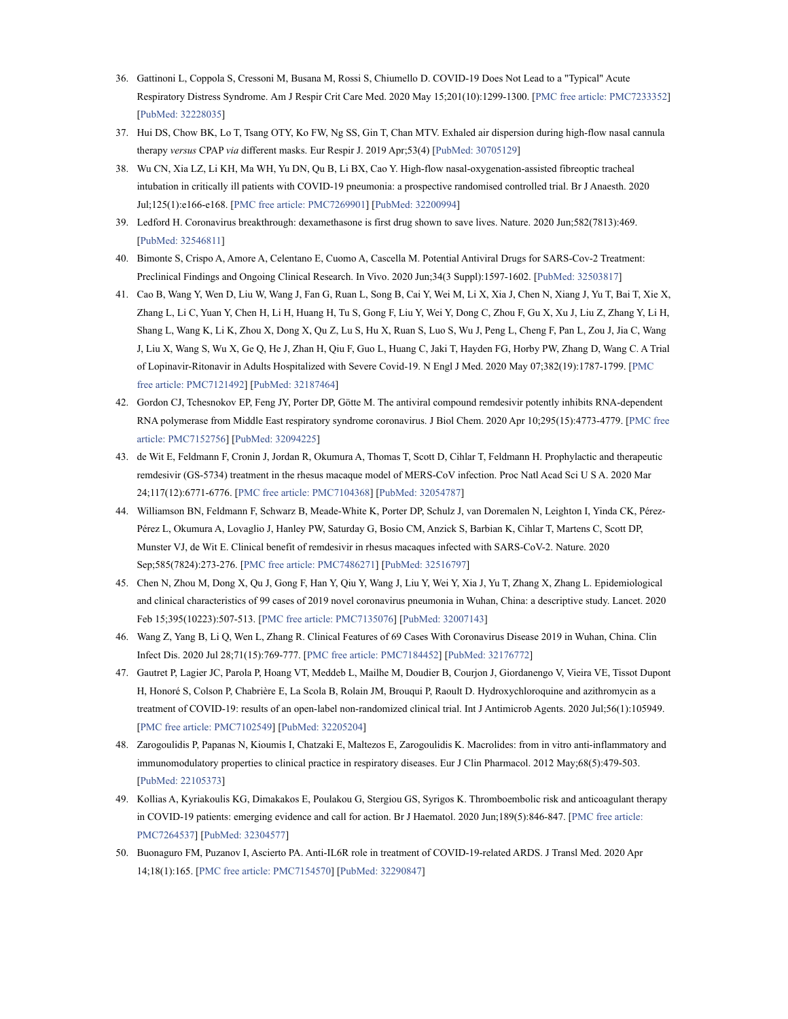- 36. Gattinoni L, Coppola S, Cressoni M, Busana M, Rossi S, Chiumello D. COVID-19 Does Not Lead to a "Typical" Acute Respiratory Distress Syndrome. Am J Respir Crit Care Med. 2020 May 15;201(10):1299-1300. [PMC free article: PMC7233352] [PubMed: 32228035]
- 37. Hui DS, Chow BK, Lo T, Tsang OTY, Ko FW, Ng SS, Gin T, Chan MTV. Exhaled air dispersion during high-flow nasal cannula therapy versus CPAP via different masks. Eur Respir J. 2019 Apr;53(4) [PubMed: 30705129]
- 38. Wu CN, Xia LZ, Li KH, Ma WH, Yu DN, Qu B, Li BX, Cao Y. High-flow nasal-oxygenation-assisted fibreoptic tracheal intubation in critically ill patients with COVID-19 pneumonia: a prospective randomised controlled trial. Br J Anaesth. 2020 Jul;125(1):e166-e168. [PMC free article: PMC7269901] [PubMed: 32200994]
- 39. Ledford H. Coronavirus breakthrough: dexamethasone is first drug shown to save lives. Nature. 2020 Jun;582(7813):469. [PubMed: 32546811]
- 40. Bimonte S, Crispo A, Amore A, Celentano E, Cuomo A, Cascella M. Potential Antiviral Drugs for SARS-Cov-2 Treatment: Preclinical Findings and Ongoing Clinical Research. In Vivo. 2020 Jun;34(3 Suppl):1597-1602. [PubMed: 32503817]
- 41. Cao B, Wang Y, Wen D, Liu W, Wang J, Fan G, Ruan L, Song B, Cai Y, Wei M, Li X, Xia J, Chen N, Xiang J, Yu T, Bai T, Xie X, Zhang L, Li C, Yuan Y, Chen H, Li H, Huang H, Tu S, Gong F, Liu Y, Wei Y, Dong C, Zhou F, Gu X, Xu J, Liu Z, Zhang Y, Li H, Shang L, Wang K, Li K, Zhou X, Dong X, Qu Z, Lu S, Hu X, Ruan S, Luo S, Wu J, Peng L, Cheng F, Pan L, Zou J, Jia C, Wang J, Liu X, Wang S, Wu X, Ge Q, He J, Zhan H, Qiu F, Guo L, Huang C, Jaki T, Hayden FG, Horby PW, Zhang D, Wang C. A Trial of Lopinavir-Ritonavir in Adults Hospitalized with Severe Covid-19. N Engl J Med. 2020 May 07;382(19):1787-1799. [PMC free article: PMC7121492] [PubMed: 32187464]
- 42. Gordon CJ, Tchesnokov EP, Feng JY, Porter DP, Götte M. The antiviral compound remdesivir potently inhibits RNA-dependent RNA polymerase from Middle East respiratory syndrome coronavirus. J Biol Chem. 2020 Apr 10;295(15):4773-4779. [PMC free article: PMC7152756] [PubMed: 32094225]
- 43. de Wit E, Feldmann F, Cronin J, Jordan R, Okumura A, Thomas T, Scott D, Cihlar T, Feldmann H. Prophylactic and therapeutic remdesivir (GS-5734) treatment in the rhesus macaque model of MERS-CoV infection. Proc Natl Acad Sci U S A. 2020 Mar 24;117(12):6771-6776. [PMC free article: PMC7104368] [PubMed: 32054787]
- 44. Williamson BN, Feldmann F, Schwarz B, Meade-White K, Porter DP, Schulz J, van Doremalen N, Leighton I, Yinda CK, Pérez-Pérez L, Okumura A, Lovaglio J, Hanley PW, Saturday G, Bosio CM, Anzick S, Barbian K, Cihlar T, Martens C, Scott DP, Munster VJ, de Wit E. Clinical benefit of remdesivir in rhesus macaques infected with SARS-CoV-2. Nature. 2020 Sep;585(7824):273-276. [PMC free article: PMC7486271] [PubMed: 32516797]
- 45. Chen N, Zhou M, Dong X, Qu J, Gong F, Han Y, Qiu Y, Wang J, Liu Y, Wei Y, Xia J, Yu T, Zhang X, Zhang L. Epidemiological and clinical characteristics of 99 cases of 2019 novel coronavirus pneumonia in Wuhan, China: a descriptive study. Lancet. 2020 Feb 15;395(10223):507-513. [PMC free article: PMC7135076] [PubMed: 32007143]
- 46. Wang Z, Yang B, Li Q, Wen L, Zhang R. Clinical Features of 69 Cases With Coronavirus Disease 2019 in Wuhan, China. Clin Infect Dis. 2020 Jul 28;71(15):769-777. [PMC free article: PMC7184452] [PubMed: 32176772]
- 47. Gautret P, Lagier JC, Parola P, Hoang VT, Meddeb L, Mailhe M, Doudier B, Courjon J, Giordanengo V, Vieira VE, Tissot Dupont H, Honoré S, Colson P, Chabrière E, La Scola B, Rolain JM, Brouqui P, Raoult D. Hydroxychloroquine and azithromycin as a treatment of COVID-19: results of an open-label non-randomized clinical trial. Int J Antimicrob Agents. 2020 Jul;56(1):105949. [PMC free article: PMC7102549] [PubMed: 32205204]
- 48. Zarogoulidis P, Papanas N, Kioumis I, Chatzaki E, Maltezos E, Zarogoulidis K. Macrolides: from in vitro anti-inflammatory and immunomodulatory properties to clinical practice in respiratory diseases. Eur J Clin Pharmacol. 2012 May;68(5):479-503. [PubMed: 22105373]
- 49. Kollias A, Kyriakoulis KG, Dimakakos E, Poulakou G, Stergiou GS, Syrigos K. Thromboembolic risk and anticoagulant therapy in COVID-19 patients: emerging evidence and call for action. Br J Haematol. 2020 Jun;189(5):846-847. [PMC free article: PMC7264537] [PubMed: 32304577]
- 50. Buonaguro FM, Puzanov I, Ascierto PA. Anti-IL6R role in treatment of COVID-19-related ARDS. J Transl Med. 2020 Apr 14;18(1):165. [PMC free article: PMC7154570] [PubMed: 32290847]